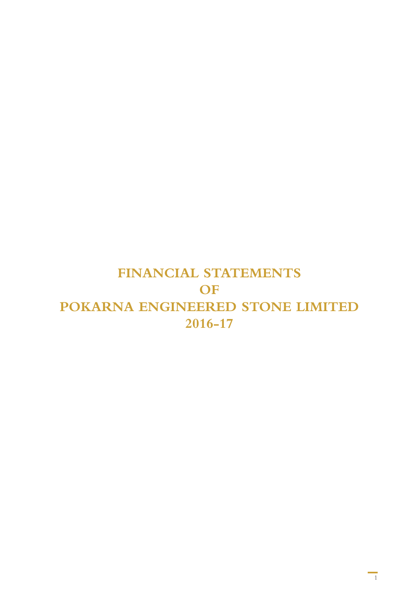# **Financial Statements of Pokarna Engineered Stone LimiteD 2016-17**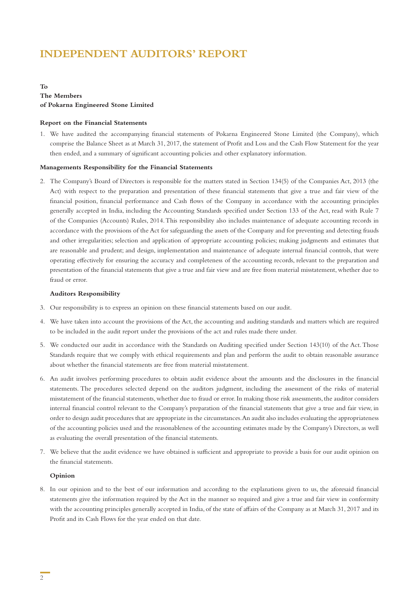# **Independent Auditors' Report**

#### **To The Members of Pokarna Engineered Stone Limited**

#### **Report on the Financial Statements**

1. We have audited the accompanying financial statements of Pokarna Engineered Stone Limited (the Company), which comprise the Balance Sheet as at March 31, 2017, the statement of Profit and Loss and the Cash Flow Statement for the year then ended, and a summary of significant accounting policies and other explanatory information.

#### **Managements Responsibility for the Financial Statements**

2. The Company's Board of Directors is responsible for the matters stated in Section 134(5) of the Companies Act, 2013 (the Act) with respect to the preparation and presentation of these financial statements that give a true and fair view of the financial position, financial performance and Cash flows of the Company in accordance with the accounting principles generally accepted in India, including the Accounting Standards specified under Section 133 of the Act, read with Rule 7 of the Companies (Accounts) Rules, 2014. This responsibility also includes maintenance of adequate accounting records in accordance with the provisions of the Act for safeguarding the assets of the Company and for preventing and detecting frauds and other irregularities; selection and application of appropriate accounting policies; making judgments and estimates that are reasonable and prudent; and design, implementation and maintenance of adequate internal financial controls, that were operating effectively for ensuring the accuracy and completeness of the accounting records, relevant to the preparation and presentation of the financial statements that give a true and fair view and are free from material misstatement, whether due to fraud or error.

#### **Auditors Responsibility**

- 3. Our responsibility is to express an opinion on these financial statements based on our audit.
- 4. We have taken into account the provisions of the Act, the accounting and auditing standards and matters which are required to be included in the audit report under the provisions of the act and rules made there under.
- 5. We conducted our audit in accordance with the Standards on Auditing specified under Section 143(10) of the Act. Those Standards require that we comply with ethical requirements and plan and perform the audit to obtain reasonable assurance about whether the financial statements are free from material misstatement.
- 6. An audit involves performing procedures to obtain audit evidence about the amounts and the disclosures in the financial statements. The procedures selected depend on the auditors judgment, including the assessment of the risks of material misstatement of the financial statements, whether due to fraud or error. In making those risk assessments, the auditor considers internal financial control relevant to the Company's preparation of the financial statements that give a true and fair view, in order to design audit procedures that are appropriate in the circumstances. An audit also includes evaluating the appropriateness of the accounting policies used and the reasonableness of the accounting estimates made by the Company's Directors, as well as evaluating the overall presentation of the financial statements.
- 7. We believe that the audit evidence we have obtained is sufficient and appropriate to provide a basis for our audit opinion on the financial statements.

#### **Opinion**

8. In our opinion and to the best of our information and according to the explanations given to us, the aforesaid financial statements give the information required by the Act in the manner so required and give a true and fair view in conformity with the accounting principles generally accepted in India, of the state of affairs of the Company as at March 31, 2017 and its Profit and its Cash Flows for the year ended on that date.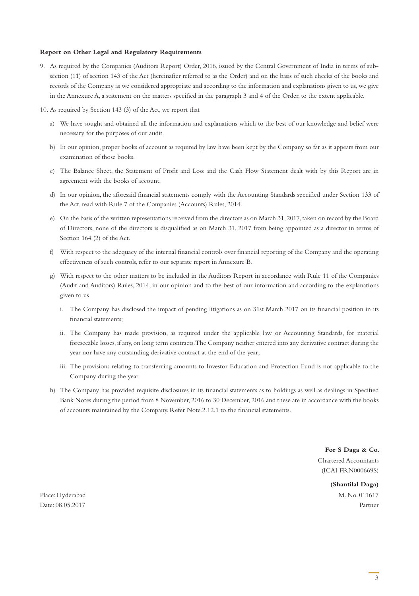#### **Report on Other Legal and Regulatory Requirements**

- 9. As required by the Companies (Auditors Report) Order, 2016, issued by the Central Government of India in terms of subsection (11) of section 143 of the Act (hereinafter referred to as the Order) and on the basis of such checks of the books and records of the Company as we considered appropriate and according to the information and explanations given to us, we give in the Annexure A, a statement on the matters specified in the paragraph 3 and 4 of the Order, to the extent applicable.
- 10. As required by Section 143 (3) of the Act, we report that
	- a) We have sought and obtained all the information and explanations which to the best of our knowledge and belief were necessary for the purposes of our audit.
	- b) In our opinion, proper books of account as required by law have been kept by the Company so far as it appears from our examination of those books.
	- c) The Balance Sheet, the Statement of Profit and Loss and the Cash Flow Statement dealt with by this Report are in agreement with the books of account.
	- d) In our opinion, the aforesaid financial statements comply with the Accounting Standards specified under Section 133 of the Act, read with Rule 7 of the Companies (Accounts) Rules, 2014.
	- e) On the basis of the written representations received from the directors as on March 31, 2017, taken on record by the Board of Directors, none of the directors is disqualified as on March 31, 2017 from being appointed as a director in terms of Section 164 (2) of the Act.
	- f) With respect to the adequacy of the internal financial controls over financial reporting of the Company and the operating effectiveness of such controls, refer to our separate report in Annexure B.
	- g) With respect to the other matters to be included in the Auditors Report in accordance with Rule 11 of the Companies (Audit and Auditors) Rules, 2014, in our opinion and to the best of our information and according to the explanations given to us
		- i. The Company has disclosed the impact of pending litigations as on 31st March 2017 on its financial position in its financial statements;
		- ii. The Company has made provision, as required under the applicable law or Accounting Standards, for material foreseeable losses, if any, on long term contracts. The Company neither entered into any derivative contract during the year nor have any outstanding derivative contract at the end of the year;
		- iii. The provisions relating to transferring amounts to Investor Education and Protection Fund is not applicable to the Company during the year.
	- h) The Company has provided requisite disclosures in its financial statements as to holdings as well as dealings in Specified Bank Notes during the period from 8 November, 2016 to 30 December, 2016 and these are in accordance with the books of accounts maintained by the Company. Refer Note.2.12.1 to the financial statements.

**For S Daga & Co.**

Chartered Accountants (ICAI FRN000669S)

**(Shantilal Daga)** Place: Hyderabad M. No. 011617 Date: 08.05.2017 Partner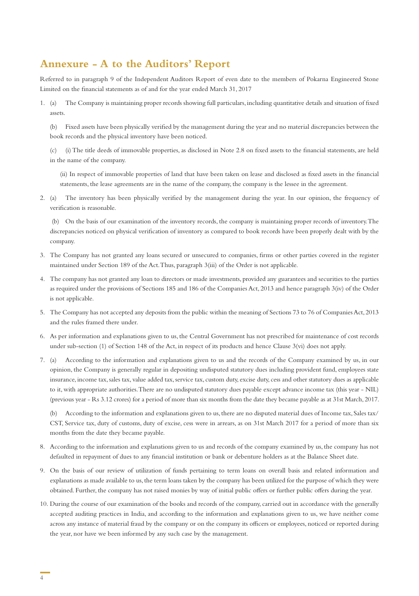## **Annexure - A to the Auditors' Report**

Referred to in paragraph 9 of the Independent Auditors Report of even date to the members of Pokarna Engineered Stone Limited on the financial statements as of and for the year ended March 31, 2017

1. (a) The Company is maintaining proper records showing full particulars, including quantitative details and situation of fixed assets.

(b) Fixed assets have been physically verified by the management during the year and no material discrepancies between the book records and the physical inventory have been noticed.

(c) (i) The title deeds of immovable properties, as disclosed in Note 2.8 on fixed assets to the financial statements, are held in the name of the company.

(ii) In respect of immovable properties of land that have been taken on lease and disclosed as fixed assets in the financial statements, the lease agreements are in the name of the company, the company is the lessee in the agreement.

2. (a) The inventory has been physically verified by the management during the year. In our opinion, the frequency of verification is reasonable.

 (b) On the basis of our examination of the inventory records, the company is maintaining proper records of inventory. The discrepancies noticed on physical verification of inventory as compared to book records have been properly dealt with by the company.

- 3. The Company has not granted any loans secured or unsecured to companies, firms or other parties covered in the register maintained under Section 189 of the Act. Thus, paragraph 3(iii) of the Order is not applicable.
- 4. The company has not granted any loan to directors or made investments, provided any guarantees and securities to the parties as required under the provisions of Sections 185 and 186 of the Companies Act, 2013 and hence paragraph 3(iv) of the Order is not applicable.
- 5. The Company has not accepted any deposits from the public within the meaning of Sections 73 to 76 of Companies Act, 2013 and the rules framed there under.
- 6. As per information and explanations given to us, the Central Government has not prescribed for maintenance of cost records under sub-section (1) of Section 148 of the Act, in respect of its products and hence Clause 3(vi) does not apply.
- 7. (a) According to the information and explanations given to us and the records of the Company examined by us, in our opinion, the Company is generally regular in depositing undisputed statutory dues including provident fund, employees state insurance, income tax, sales tax, value added tax, service tax, custom duty, excise duty, cess and other statutory dues as applicable to it, with appropriate authorities. There are no undisputed statutory dues payable except advance income tax (this year - NIL) (previous year - Rs 3.12 crores) for a period of more than six months from the date they became payable as at 31st March, 2017.

(b) According to the information and explanations given to us, there are no disputed material dues of Income tax, Sales tax/ CST, Service tax, duty of customs, duty of excise, cess were in arrears, as on 31st March 2017 for a period of more than six months from the date they became payable.

- 8. According to the information and explanations given to us and records of the company examined by us, the company has not defaulted in repayment of dues to any financial institution or bank or debenture holders as at the Balance Sheet date.
- 9. On the basis of our review of utilization of funds pertaining to term loans on overall basis and related information and explanations as made available to us, the term loans taken by the company has been utilized for the purpose of which they were obtained. Further, the company has not raised monies by way of initial public offers or further public offers during the year.
- 10. During the course of our examination of the books and records of the company, carried out in accordance with the generally accepted auditing practices in India, and according to the information and explanations given to us, we have neither come across any instance of material fraud by the company or on the company its officers or employees, noticed or reported during the year, nor have we been informed by any such case by the management.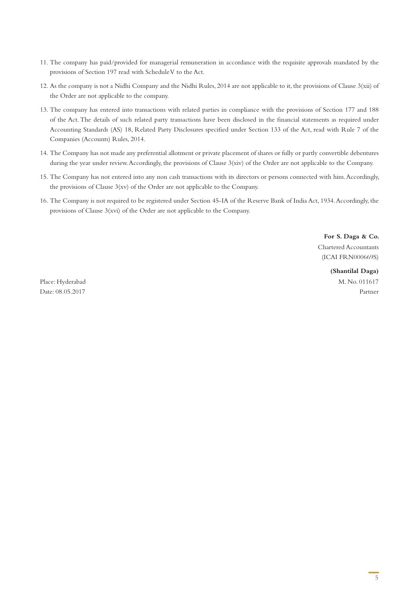- 11. The company has paid/provided for managerial remuneration in accordance with the requisite approvals mandated by the provisions of Section 197 read with Schedule V to the Act.
- 12. As the company is not a Nidhi Company and the Nidhi Rules, 2014 are not applicable to it, the provisions of Clause 3(xii) of the Order are not applicable to the company.
- 13. The company has entered into transactions with related parties in compliance with the provisions of Section 177 and 188 of the Act. The details of such related party transactions have been disclosed in the financial statements as required under Accounting Standards (AS) 18, Related Party Disclosures specified under Section 133 of the Act, read with Rule 7 of the Companies (Accounts) Rules, 2014.
- 14. The Company has not made any preferential allotment or private placement of shares or fully or partly convertible debentures during the year under review. Accordingly, the provisions of Clause 3(xiv) of the Order are not applicable to the Company.
- 15. The Company has not entered into any non cash transactions with its directors or persons connected with him. Accordingly, the provisions of Clause 3(xv) of the Order are not applicable to the Company.
- 16. The Company is not required to be registered under Section 45-IA of the Reserve Bank of India Act, 1934. Accordingly, the provisions of Clause 3(xvi) of the Order are not applicable to the Company.

**For S. Daga & Co.** Chartered Accountants (ICAI FRN000669S)

**(Shantilal Daga)** Place: Hyderabad M. No. 011617

Date: 08.05.2017 Partner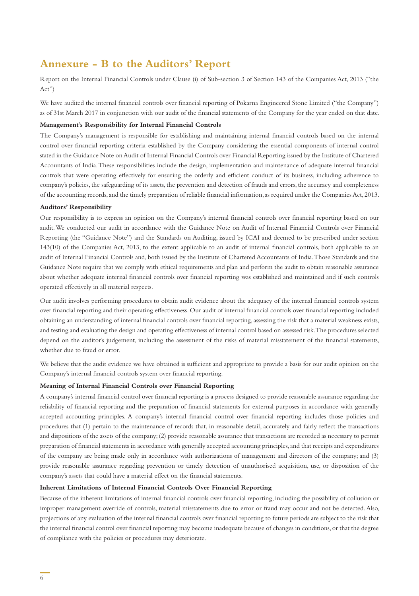### **Annexure - B to the Auditors' Report**

Report on the Internal Financial Controls under Clause (i) of Sub-section 3 of Section 143 of the Companies Act, 2013 ("the Act")

We have audited the internal financial controls over financial reporting of Pokarna Engineered Stone Limited ("the Company") as of 31st March 2017 in conjunction with our audit of the financial statements of the Company for the year ended on that date.

#### **Management's Responsibility for Internal Financial Controls**

The Company's management is responsible for establishing and maintaining internal financial controls based on the internal control over financial reporting criteria established by the Company considering the essential components of internal control stated in the Guidance Note on Audit of Internal Financial Controls over Financial Reporting issued by the Institute of Chartered Accountants of India. These responsibilities include the design, implementation and maintenance of adequate internal financial controls that were operating effectively for ensuring the orderly and efficient conduct of its business, including adherence to company's policies, the safeguarding of its assets, the prevention and detection of frauds and errors, the accuracy and completeness of the accounting records, and the timely preparation of reliable financial information, as required under the Companies Act, 2013.

#### **Auditors' Responsibility**

Our responsibility is to express an opinion on the Company's internal financial controls over financial reporting based on our audit. We conducted our audit in accordance with the Guidance Note on Audit of Internal Financial Controls over Financial Reporting (the "Guidance Note") and the Standards on Auditing, issued by ICAI and deemed to be prescribed under section 143(10) of the Companies Act, 2013, to the extent applicable to an audit of internal financial controls, both applicable to an audit of Internal Financial Controls and, both issued by the Institute of Chartered Accountants of India. Those Standards and the Guidance Note require that we comply with ethical requirements and plan and perform the audit to obtain reasonable assurance about whether adequate internal financial controls over financial reporting was established and maintained and if such controls operated effectively in all material respects.

Our audit involves performing procedures to obtain audit evidence about the adequacy of the internal financial controls system over financial reporting and their operating effectiveness. Our audit of internal financial controls over financial reporting included obtaining an understanding of internal financial controls over financial reporting, assessing the risk that a material weakness exists, and testing and evaluating the design and operating effectiveness of internal control based on assessed risk. The procedures selected depend on the auditor's judgement, including the assessment of the risks of material misstatement of the financial statements, whether due to fraud or error.

We believe that the audit evidence we have obtained is sufficient and appropriate to provide a basis for our audit opinion on the Company's internal financial controls system over financial reporting.

#### **Meaning of Internal Financial Controls over Financial Reporting**

A company's internal financial control over financial reporting is a process designed to provide reasonable assurance regarding the reliability of financial reporting and the preparation of financial statements for external purposes in accordance with generally accepted accounting principles. A company's internal financial control over financial reporting includes those policies and procedures that (1) pertain to the maintenance of records that, in reasonable detail, accurately and fairly reflect the transactions and dispositions of the assets of the company; (2) provide reasonable assurance that transactions are recorded as necessary to permit preparation of financial statements in accordance with generally accepted accounting principles, and that receipts and expenditures of the company are being made only in accordance with authorizations of management and directors of the company; and (3) provide reasonable assurance regarding prevention or timely detection of unauthorised acquisition, use, or disposition of the company's assets that could have a material effect on the financial statements.

#### **Inherent Limitations of Internal Financial Controls Over Financial Reporting**

Because of the inherent limitations of internal financial controls over financial reporting, including the possibility of collusion or improper management override of controls, material misstatements due to error or fraud may occur and not be detected. Also, projections of any evaluation of the internal financial controls over financial reporting to future periods are subject to the risk that the internal financial control over financial reporting may become inadequate because of changes in conditions, or that the degree of compliance with the policies or procedures may deteriorate.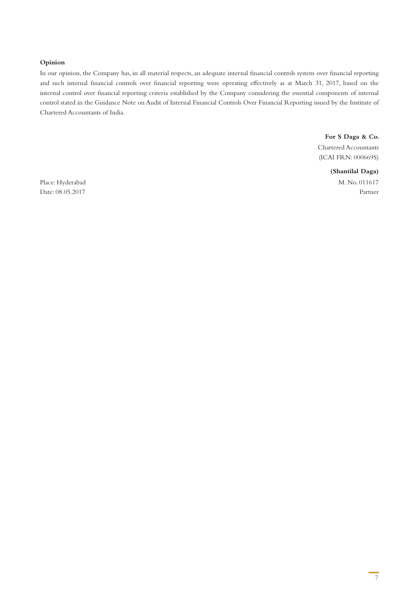#### **Opinion**

In our opinion, the Company has, in all material respects, an adequate internal financial controls system over financial reporting and such internal financial controls over financial reporting were operating effectively as at March 31, 2017, based on the internal control over financial reporting criteria established by the Company considering the essential components of internal control stated in the Guidance Note on Audit of Internal Financial Controls Over Financial Reporting issued by the Institute of Chartered Accountants of India.

> **For S Daga & Co.** Chartered Accountants (ICAI FRN: 000669S)

**(Shantilal Daga)** Place: Hyderabad M. No. 011617

Date: 08.05.2017 Partner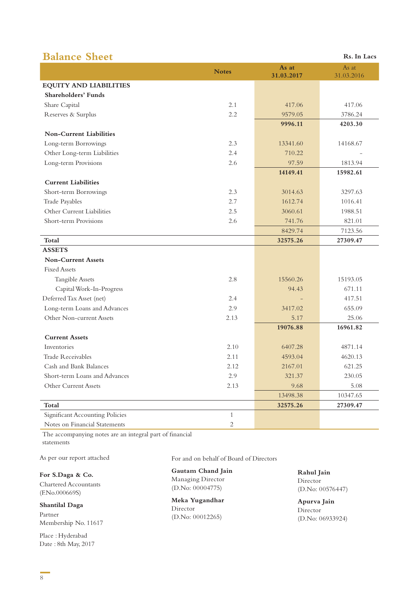# **Balance Sheet Rs. In Lacs**

|                                 | <b>Notes</b>   | As at<br>31.03.2017 | As at<br>31.03.2016 |
|---------------------------------|----------------|---------------------|---------------------|
| <b>EQUITY AND LIABILITIES</b>   |                |                     |                     |
| <b>Shareholders' Funds</b>      |                |                     |                     |
| Share Capital                   | 2.1            | 417.06              | 417.06              |
| Reserves & Surplus              | 2.2            | 9579.05             | 3786.24             |
|                                 |                | 9996.11             | 4203.30             |
| <b>Non-Current Liabilities</b>  |                |                     |                     |
| Long-term Borrowings            | 2.3            | 13341.60            | 14168.67            |
| Other Long-term Liabilities     | 2.4            | 710.22              |                     |
| Long-term Provisions            | 2.6            | 97.59               | 1813.94             |
|                                 |                | 14149.41            | 15982.61            |
| <b>Current Liabilities</b>      |                |                     |                     |
| Short-term Borrowings           | 2.3            | 3014.63             | 3297.63             |
| Trade Payables                  | 2.7            | 1612.74             | 1016.41             |
| Other Current Liabilities       | 2.5            | 3060.61             | 1988.51             |
| Short-term Provisions           | 2.6            | 741.76              | 821.01              |
|                                 |                | 8429.74             | 7123.56             |
| Total                           |                | 32575.26            | 27309.47            |
| <b>ASSETS</b>                   |                |                     |                     |
| <b>Non-Current Assets</b>       |                |                     |                     |
| <b>Fixed Assets</b>             |                |                     |                     |
| <b>Tangible Assets</b>          | 2.8            | 15560.26            | 15193.05            |
| Capital Work-In-Progress        |                | 94.43               | 671.11              |
| Deferred Tax Asset (net)        | 2.4            |                     | 417.51              |
| Long-term Loans and Advances    | 2.9            | 3417.02             | 655.09              |
| Other Non-current Assets        | 2.13           | 5.17                | 25.06               |
|                                 |                | 19076.88            | 16961.82            |
| <b>Current Assets</b>           |                |                     |                     |
| Inventories                     | 2.10           | 6407.28             | 4871.14             |
| <b>Trade Receivables</b>        | 2.11           | 4593.04             | 4620.13             |
| Cash and Bank Balances          | 2.12           | 2167.01             | 621.25              |
| Short-term Loans and Advances   | 2.9            | 321.37              | 230.05              |
| Other Current Assets            | 2.13           | 9.68                | 5.08                |
|                                 |                | 13498.38            | 10347.65            |
| Total                           |                | 32575.26            | 27309.47            |
| Significant Accounting Policies | $\mathbf{1}$   |                     |                     |
| Notes on Financial Statements   | $\overline{c}$ |                     |                     |

The accompanying notes are an integral part of financial statements

As per our report attached

**For S.Daga & Co.** Chartered Accountants (F.No.000669S)

**Shantilal Daga**  Partner Membership No. 11617

Place : Hyderabad Date : 8th May, 2017 For and on behalf of Board of Directors

**Gautam Chand Jain** Managing Director (D.No: 00004775)

**Meka Yugandhar** Director (D.No: 00012265)

**Rahul Jain** Director (D.No: 00576447)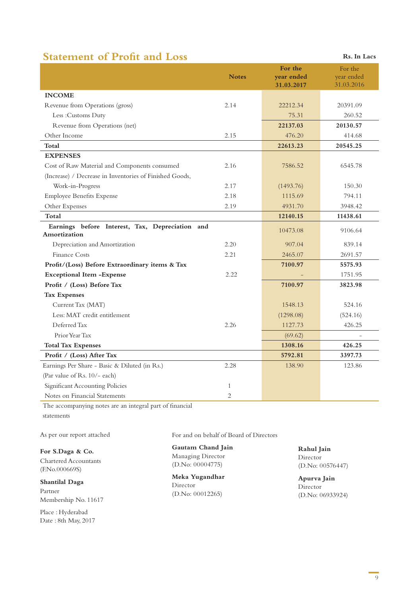# **Statement of Profit and Loss Rs. In Lacs**

|                                                                 | <b>Notes</b>   | For the<br>year ended | For the<br>year ended<br>31.03.2016 |
|-----------------------------------------------------------------|----------------|-----------------------|-------------------------------------|
| <b>INCOME</b>                                                   |                | 31.03.2017            |                                     |
| Revenue from Operations (gross)                                 | 2.14           | 22212.34              | 20391.09                            |
| Less: Customs Duty                                              |                | 75.31                 | 260.52                              |
| Revenue from Operations (net)                                   |                | 22137.03              | 20130.57                            |
| Other Income                                                    | 2.15           | 476.20                | 414.68                              |
| Total                                                           |                | 22613.23              | 20545.25                            |
| <b>EXPENSES</b>                                                 |                |                       |                                     |
| Cost of Raw Material and Components consumed                    | 2.16           | 7586.52               | 6545.78                             |
| (Increase) / Decrease in Inventories of Finished Goods,         |                |                       |                                     |
| Work-in-Progress                                                | 2.17           | (1493.76)             | 150.30                              |
| <b>Employee Benefits Expense</b>                                | 2.18           | 1115.69               | 794.11                              |
| Other Expenses                                                  | 2.19           | 4931.70               | 3948.42                             |
| Total                                                           |                | 12140.15              | 11438.61                            |
| Earnings before Interest, Tax, Depreciation and<br>Amortization |                | 10473.08              | 9106.64                             |
| Depreciation and Amortization                                   | 2.20           | 907.04                | 839.14                              |
| Finance Costs                                                   | 2.21           | 2465.07               | 2691.57                             |
| Profit/(Loss) Before Extraordinary items & Tax                  |                | 7100.97               | 5575.93                             |
| <b>Exceptional Item -Expense</b>                                | 2.22           |                       | 1751.95                             |
| Profit / (Loss) Before Tax                                      |                | 7100.97               | 3823.98                             |
| <b>Tax Expenses</b>                                             |                |                       |                                     |
| Current Tax (MAT)                                               |                | 1548.13               | 524.16                              |
| Less: MAT credit entitlement                                    |                | (1298.08)             | (524.16)                            |
| Deferred Tax                                                    | 2.26           | 1127.73               | 426.25                              |
| Prior Year Tax                                                  |                | (69.62)               |                                     |
| <b>Total Tax Expenses</b>                                       |                | 1308.16               | 426.25                              |
| Profit / (Loss) After Tax                                       |                | 5792.81               | 3397.73                             |
| Earnings Per Share - Basic & Diluted (in Rs.)                   | 2.28           | 138.90                | 123.86                              |
| (Par value of Rs. 10/- each)                                    |                |                       |                                     |
| Significant Accounting Policies                                 | $\mathbf{1}$   |                       |                                     |
| Notes on Financial Statements                                   | $\overline{2}$ |                       |                                     |

The accompanying notes are an integral part of financial

statements

As per our report attached

**For S.Daga & Co.** Chartered Accountants (F.No.000669S)

**Shantilal Daga**  Partner Membership No. 11617

Place : Hyderabad Date : 8th May, 2017 For and on behalf of Board of Directors

**Gautam Chand Jain** Managing Director (D.No: 00004775)

**Meka Yugandhar** Director (D.No: 00012265)

**Rahul Jain** Director (D.No: 00576447)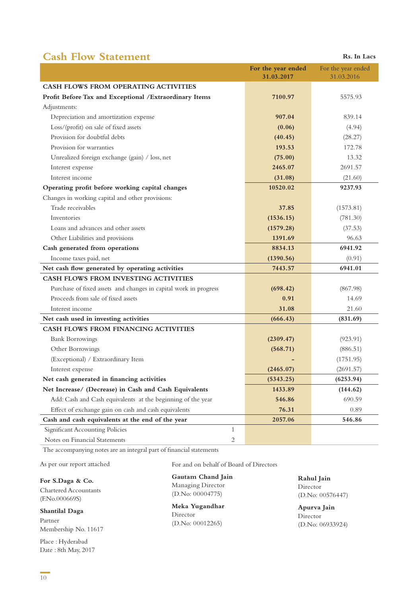# **Cash Flow Statement** Rs. In Lacs

|                                                                  | For the year ended<br>31.03.2017 | For the year ended<br>31.03.2016 |
|------------------------------------------------------------------|----------------------------------|----------------------------------|
| <b>CASH FLOWS FROM OPERATING ACTIVITIES</b>                      |                                  |                                  |
| Profit Before Tax and Exceptional / Extraordinary Items          | 7100.97                          | 5575.93                          |
| Adjustments:                                                     |                                  |                                  |
| Depreciation and amortization expense                            | 907.04                           | 839.14                           |
| Loss/(profit) on sale of fixed assets                            | (0.06)                           | (4.94)                           |
| Provision for doubtful debts                                     | (40.45)                          | (28.27)                          |
| Provision for warranties                                         | 193.53                           | 172.78                           |
| Unrealized foreign exchange (gain) / loss, net                   | (75.00)                          | 13.32                            |
| Interest expense                                                 | 2465.07                          | 2691.57                          |
| Interest income                                                  | (31.08)                          | (21.60)                          |
| Operating profit before working capital changes                  | 10520.02                         | 9237.93                          |
| Changes in working capital and other provisions:                 |                                  |                                  |
| Trade receivables                                                | 37.85                            | (1573.81)                        |
| Inventories                                                      | (1536.15)                        | (781.30)                         |
| Loans and advances and other assets                              | (1579.28)                        | (37.53)                          |
| Other Liabilities and provisions                                 | 1391.69                          | 96.63                            |
| Cash generated from operations                                   | 8834.13                          | 6941.92                          |
| Income taxes paid, net                                           | (1390.56)                        | (0.91)                           |
| Net cash flow generated by operating activities                  | 7443.57                          | 6941.01                          |
| <b>CASH FLOWS FROM INVESTING ACTIVITIES</b>                      |                                  |                                  |
| Purchase of fixed assets and changes in capital work in progress | (698.42)                         | (867.98)                         |
| Proceeds from sale of fixed assets                               | 0.91                             | 14.69                            |
| Interest income                                                  | 31.08                            | 21.60                            |
| Net cash used in investing activities                            | (666.43)                         | (831.69)                         |
| <b>CASH FLOWS FROM FINANCING ACTIVITIES</b>                      |                                  |                                  |
| <b>Bank Borrowings</b>                                           | (2309.47)                        | (923.91)                         |
| Other Borrowings                                                 | (568.71)                         | (886.51)                         |
| (Exceptional) / Extraordinary Item                               |                                  | (1751.95)                        |
| Interest expense                                                 | (2465.07)                        | (2691.57)                        |
| Net cash generated in financing activities                       | (5343.25)                        | (6253.94)                        |
| Net Increase/ (Decrease) in Cash and Cash Equivalents            | 1433.89                          | (144.62)                         |
| Add: Cash and Cash equivalents at the beginning of the year      | 546.86                           | 690.59                           |
| Effect of exchange gain on cash and cash equivalents             | 76.31                            | 0.89                             |
| Cash and cash equivalents at the end of the year                 | 2057.06                          | 546.86                           |
| <b>Significant Accounting Policies</b><br>$\mathbf{1}$           |                                  |                                  |
| Notes on Financial Statements<br>2                               |                                  |                                  |

The accompanying notes are an integral part of financial statements

As per our report attached

**For S.Daga & Co.** Chartered Accountants (F.No.000669S)

**Shantilal Daga**  Partner Membership No. 11617

Place : Hyderabad Date : 8th May, 2017 For and on behalf of Board of Directors

# **Gautam Chand Jain**

Managing Director (D.No: 00004775)

**Meka Yugandhar** Director (D.No: 00012265)

**Rahul Jain** Director (D.No: 00576447)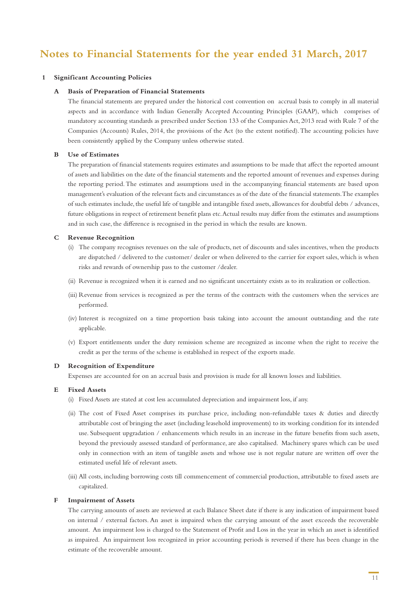# **Notes to Financial Statements for the year ended 31 March, 2017**

#### **1 Significant Accounting Policies**

#### **A Basis of Preparation of Financial Statements**

 The financial statements are prepared under the historical cost convention on accrual basis to comply in all material aspects and in accordance with Indian Generally Accepted Accounting Principles (GAAP), which comprises of mandatory accounting standards as prescribed under Section 133 of the Companies Act, 2013 read with Rule 7 of the Companies (Accounts) Rules, 2014, the provisions of the Act (to the extent notified). The accounting policies have been consistently applied by the Company unless otherwise stated.

#### **B Use of Estimates**

 The preparation of financial statements requires estimates and assumptions to be made that affect the reported amount of assets and liabilities on the date of the financial statements and the reported amount of revenues and expenses during the reporting period. The estimates and assumptions used in the accompanying financial statements are based upon management's evaluation of the relevant facts and circumstances as of the date of the financial statements. The examples of such estimates include, the useful life of tangible and intangible fixed assets, allowances for doubtful debts / advances, future obligations in respect of retirement benefit plans etc. Actual results may differ from the estimates and assumptions and in such case, the difference is recognised in the period in which the results are known.

#### **C Revenue Recognition**

- (i) The company recognises revenues on the sale of products, net of discounts and sales incentives, when the products are dispatched / delivered to the customer/ dealer or when delivered to the carrier for export sales, which is when risks and rewards of ownership pass to the customer /dealer.
- (ii) Revenue is recognized when it is earned and no significant uncertainty exists as to its realization or collection.
- (iii) Revenue from services is recognized as per the terms of the contracts with the customers when the services are performed.
- (iv) Interest is recognized on a time proportion basis taking into account the amount outstanding and the rate applicable.
- (v) Export entitlements under the duty remission scheme are recognized as income when the right to receive the credit as per the terms of the scheme is established in respect of the exports made.

#### **D Recognition of Expenditure**

Expenses are accounted for on an accrual basis and provision is made for all known losses and liabilities.

#### **E Fixed Assets**

- (i) Fixed Assets are stated at cost less accumulated depreciation and impairment loss, if any.
- (ii) The cost of Fixed Asset comprises its purchase price, including non-refundable taxes & duties and directly attributable cost of bringing the asset (including leasehold improvements) to its working condition for its intended use. Subsequent upgradation / enhancements which results in an increase in the future benefits from such assets, beyond the previously assessed standard of performance, are also capitalised. Machinery spares which can be used only in connection with an item of tangible assets and whose use is not regular nature are written off over the estimated useful life of relevant assets.
- (iii) All costs, including borrowing costs till commencement of commercial production, attributable to fixed assets are capitalized.

#### **F Impairment of Assets**

 The carrying amounts of assets are reviewed at each Balance Sheet date if there is any indication of impairment based on internal / external factors. An asset is impaired when the carrying amount of the asset exceeds the recoverable amount. An impairment loss is charged to the Statement of Profit and Loss in the year in which an asset is identified as impaired. An impairment loss recognized in prior accounting periods is reversed if there has been change in the estimate of the recoverable amount.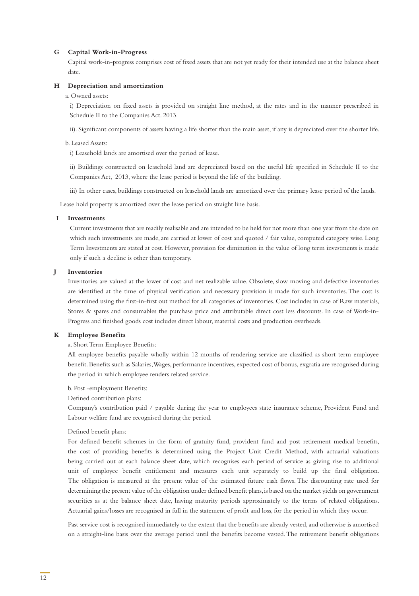#### **G Capital Work-in-Progress**

 Capital work-in-progress comprises cost of fixed assets that are not yet ready for their intended use at the balance sheet date.

#### **H Depreciation and amortization**

#### a. Owned assets:

i) Depreciation on fixed assets is provided on straight line method, at the rates and in the manner prescribed in Schedule II to the Companies Act. 2013.

ii). Significant components of assets having a life shorter than the main asset, if any is depreciated over the shorter life.

#### b. Leased Assets:

i) Leasehold lands are amortised over the period of lease.

ii) Buildings constructed on leasehold land are depreciated based on the useful life specified in Schedule II to the Companies Act, 2013, where the lease period is beyond the life of the building.

iii) In other cases, buildings constructed on leasehold lands are amortized over the primary lease period of the lands.

Lease hold property is amortized over the lease period on straight line basis.

#### **I Investments**

Current investments that are readily realisable and are intended to be held for not more than one year from the date on which such investments are made, are carried at lower of cost and quoted / fair value, computed category wise. Long Term Investments are stated at cost. However, provision for diminution in the value of long term investments is made only if such a decline is other than temporary.

#### **J Inventories**

 Inventories are valued at the lower of cost and net realizable value. Obsolete, slow moving and defective inventories are identified at the time of physical verification and necessary provision is made for such inventories. The cost is determined using the first-in-first out method for all categories of inventories. Cost includes in case of Raw materials, Stores & spares and consumables the purchase price and attributable direct cost less discounts. In case of Work-in-Progress and finished goods cost includes direct labour, material costs and production overheads.

#### **K Employee Benefits**

#### a. Short Term Employee Benefits:

 All employee benefits payable wholly within 12 months of rendering service are classified as short term employee benefit. Benefits such as Salaries, Wages, performance incentives, expected cost of bonus, exgratia are recognised during the period in which employee renders related service.

#### b. Post -employment Benefits:

Defined contribution plans:

 Company's contribution paid / payable during the year to employees state insurance scheme, Provident Fund and Labour welfare fund are recognised during the period.

#### Defined benefit plans:

 For defined benefit schemes in the form of gratuity fund, provident fund and post retirement medical benefits, the cost of providing benefits is determined using the Project Unit Credit Method, with actuarial valuations being carried out at each balance sheet date, which recognises each period of service as giving rise to additional unit of employee benefit entitlement and measures each unit separately to build up the final obligation. The obligation is measured at the present value of the estimated future cash flows. The discounting rate used for determining the present value of the obligation under defined benefit plans, is based on the market yields on government securities as at the balance sheet date, having maturity periods approximately to the terms of related obligations. Actuarial gains/losses are recognised in full in the statement of profit and loss, for the period in which they occur.

 Past service cost is recognised immediately to the extent that the benefits are already vested, and otherwise is amortised on a straight-line basis over the average period until the benefits become vested. The retirement benefit obligations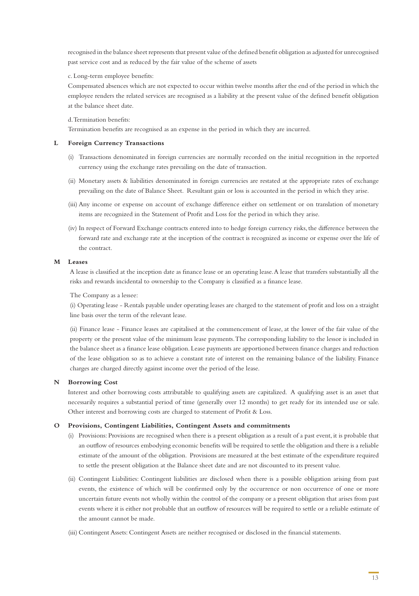recognised in the balance sheet represents that present value of the defined benefit obligation as adjusted for unrecognised past service cost and as reduced by the fair value of the scheme of assets

#### c. Long-term employee benefits:

 Compensated absences which are not expected to occur within twelve months after the end of the period in which the employee renders the related services are recognised as a liability at the present value of the defined benefit obligation at the balance sheet date.

#### d. Termination benefits:

Termination benefits are recognised as an expense in the period in which they are incurred.

#### **L Foreign Currency Transactions**

- (i) Transactions denominated in foreign currencies are normally recorded on the initial recognition in the reported currency using the exchange rates prevailing on the date of transaction.
- (ii) Monetary assets & liabilities denominated in foreign currencies are restated at the appropriate rates of exchange prevailing on the date of Balance Sheet. Resultant gain or loss is accounted in the period in which they arise.
- (iii) Any income or expense on account of exchange difference either on settlement or on translation of monetary items are recognized in the Statement of Profit and Loss for the period in which they arise.
- (iv) In respect of Forward Exchange contracts entered into to hedge foreign currency risks, the difference between the forward rate and exchange rate at the inception of the contract is recognized as income or expense over the life of the contract.

#### **M Leases**

A lease is classified at the inception date as finance lease or an operating lease. A lease that transfers substantially all the risks and rewards incidental to ownership to the Company is classified as a finance lease.

#### The Company as a lessee:

(i) Operating lease - Rentals payable under operating leases are charged to the statement of profit and loss on a straight line basis over the term of the relevant lease.

(ii) Finance lease - Finance leases are capitalised at the commencement of lease, at the lower of the fair value of the property or the present value of the minimum lease payments. The corresponding liability to the lessor is included in the balance sheet as a finance lease obligation. Lease payments are apportioned between finance charges and reduction of the lease obligation so as to achieve a constant rate of interest on the remaining balance of the liability. Finance charges are charged directly against income over the period of the lease.

#### **N Borrowing Cost**

 Interest and other borrowing costs attributable to qualifying assets are capitalized. A qualifying asset is an asset that necessarily requires a substantial period of time (generally over 12 months) to get ready for its intended use or sale. Other interest and borrowing costs are charged to statement of Profit & Loss.

#### **O Provisions, Contingent Liabilities, Contingent Assets and commitments**

- (i) Provisions: Provisions are recognised when there is a present obligation as a result of a past event, it is probable that an outflow of resources embodying economic benefits will be required to settle the obligation and there is a reliable estimate of the amount of the obligation. Provisions are measured at the best estimate of the expenditure required to settle the present obligation at the Balance sheet date and are not discounted to its present value.
- (ii) Contingent Liabilities: Contingent liabilities are disclosed when there is a possible obligation arising from past events, the existence of which will be confirmed only by the occurrence or non occurrence of one or more uncertain future events not wholly within the control of the company or a present obligation that arises from past events where it is either not probable that an outflow of resources will be required to settle or a reliable estimate of the amount cannot be made.
- (iii) Contingent Assets: Contingent Assets are neither recognised or disclosed in the financial statements.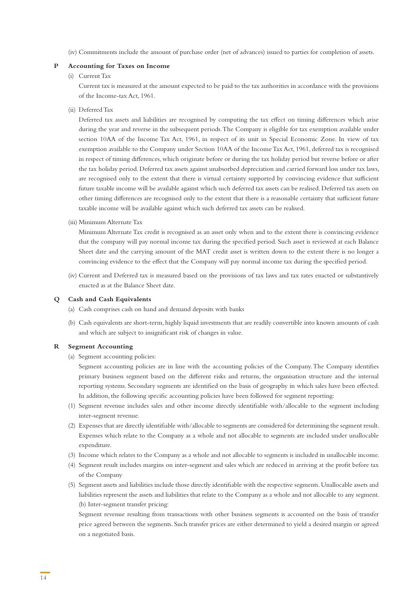(iv) Commitments include the amount of purchase order (net of advances) issued to parties for completion of assets.

#### **P Accounting for Taxes on Income**

#### (i) Current Tax

 Current tax is measured at the amount expected to be paid to the tax authorities in accordance with the provisions of the Income-tax Act, 1961.

(ii) Deferred Tax

 Deferred tax assets and liabilities are recognised by computing the tax effect on timing differences which arise during the year and reverse in the subsequent periods. The Company is eligible for tax exemption available under section 10AA of the Income Tax Act, 1961, in respect of its unit in Special Economic Zone. In view of tax exemption available to the Company under Section 10AA of the Income Tax Act, 1961, deferred tax is recognised in respect of timing differences, which originate before or during the tax holiday period but reverse before or after the tax holiday period. Deferred tax assets against unabsorbed depreciation and carried forward loss under tax laws, are recognised only to the extent that there is virtual certainty supported by convincing evidence that sufficient future taxable income will be available against which such deferred tax assets can be realised. Deferred tax assets on other timing differences are recognised only to the extent that there is a reasonable certainty that sufficient future taxable income will be available against which such deferred tax assets can be realised.

(iii) Minimum Alternate Tax

 Minimum Alternate Tax credit is recognised as an asset only when and to the extent there is convincing evidence that the company will pay normal income tax during the specified period. Such asset is reviewed at each Balance Sheet date and the carrying amount of the MAT credit asset is written down to the extent there is no longer a convincing evidence to the effect that the Company will pay normal income tax during the specified period.

 (iv) Current and Deferred tax is measured based on the provisions of tax laws and tax rates enacted or substantively enacted as at the Balance Sheet date.

#### **Q Cash and Cash Equivalents**

- (a) Cash comprises cash on hand and demand deposits with banks
- (b) Cash equivalents are short-term, highly liquid investments that are readily convertible into known amounts of cash and which are subject to insignificant risk of changes in value.

#### **R Segment Accounting**

(a) Segment accounting policies:

 Segment accounting policies are in line with the accounting policies of the Company. The Company identifies primary business segment based on the different risks and returns, the organisation structure and the internal reporting systems. Secondary segments are identified on the basis of geography in which sales have been effected. In addition, the following specific accounting policies have been followed for segment reporting:

- (1) Segment revenue includes sales and other income directly identifiable with/allocable to the segment including inter-segment revenue.
- (2) Expenses that are directly identifiable with/allocable to segments are considered for determining the segment result. Expenses which relate to the Company as a whole and not allocable to segments are included under unallocable expenditure.
- (3) Income which relates to the Company as a whole and not allocable to segments is included in unallocable income.
- (4) Segment result includes margins on inter-segment and sales which are reduced in arriving at the profit before tax of the Company
- (5) Segment assets and liabilities include those directly identifiable with the respective segments. Unallocable assets and liabilities represent the assets and liabilities that relate to the Company as a whole and not allocable to any segment. (b) Inter-segment transfer pricing:

 Segment revenue resulting from transactions with other business segments is accounted on the basis of transfer price agreed between the segments. Such transfer prices are either determined to yield a desired margin or agreed on a negotiated basis.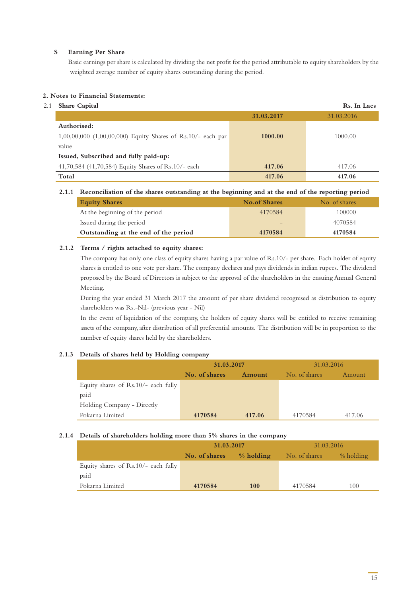#### **S Earning Per Share**

 Basic earnings per share is calculated by dividing the net profit for the period attributable to equity shareholders by the weighted average number of equity shares outstanding during the period.

#### **2. Notes to Financial Statements:**

#### 2.1 **Share Capital Rs. In Lacs**

| <b>Ulture</b> Ouplet                                          |            | $\sim$     |
|---------------------------------------------------------------|------------|------------|
|                                                               | 31.03.2017 | 31.03.2016 |
| Authorised:                                                   |            |            |
| $1,00,00,000$ (1,00,00,000) Equity Shares of Rs.10/- each par | 1000.00    | 1000.00    |
| value                                                         |            |            |
| Issued, Subscribed and fully paid-up:                         |            |            |
| 41,70,584 (41,70,584) Equity Shares of Rs.10/- each           | 417.06     | 417.06     |
| Total                                                         | 417.06     | 417.06     |

#### **2.1.1 Reconciliation of the shares outstanding at the beginning and at the end of the reporting period**

| <b>Equity Shares</b>                 | <b>No.of Shares</b> | No. of shares |
|--------------------------------------|---------------------|---------------|
| At the beginning of the period       | 4170584             | 100000        |
| Issued during the period             |                     | 4070584       |
| Outstanding at the end of the period | 4170584             | 4170584       |

#### **2.1.2 Terms / rights attached to equity shares:**

The company has only one class of equity shares having a par value of Rs.10/- per share. Each holder of equity shares is entitled to one vote per share. The company declares and pays dividends in indian rupees. The dividend proposed by the Board of Directors is subject to the approval of the shareholders in the ensuing Annual General Meeting.

During the year ended 31 March 2017 the amount of per share dividend recognised as distribution to equity shareholders was Rs.-Nil- (previous year - Nil)

In the event of liquidation of the company, the holders of equity shares will be entitled to receive remaining assets of the company, after distribution of all preferential amounts. The distribution will be in proportion to the number of equity shares held by the shareholders.

#### **2.1.3 Details of shares held by Holding company**

|                                     | 31.03.2017    |        | 31.03.2016    |        |
|-------------------------------------|---------------|--------|---------------|--------|
|                                     | No. of shares | Amount | No. of shares | Amount |
| Equity shares of Rs.10/- each fully |               |        |               |        |
| paid                                |               |        |               |        |
| Holding Company - Directly          |               |        |               |        |
| Pokarna Limited                     | 4170584       | 417.06 | 4170584       | 417.06 |

#### **2.1.4 Details of shareholders holding more than 5% shares in the company**

|                                       | 31.03.2017    |            | 31.03.2016    |           |
|---------------------------------------|---------------|------------|---------------|-----------|
|                                       | No. of shares | % holding  | No. of shares | % holding |
| Equity shares of $Rs.10/-$ each fully |               |            |               |           |
| paid                                  |               |            |               |           |
| Pokarna Limited                       | 4170584       | <b>100</b> | 4170584       | 100       |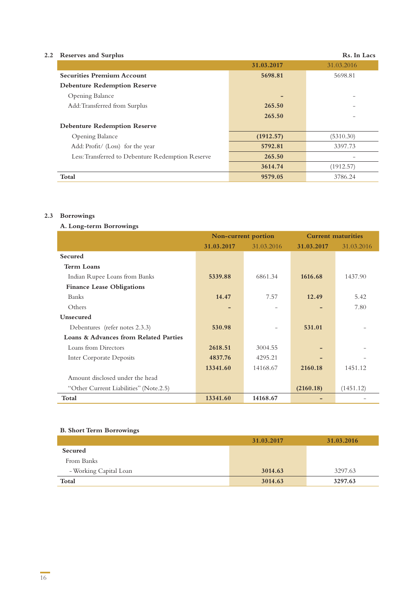| <b>Reserves and Surplus</b><br>2.2                |            | Rs. In Lacs |
|---------------------------------------------------|------------|-------------|
|                                                   | 31.03.2017 | 31.03.2016  |
| <b>Securities Premium Account</b>                 | 5698.81    | 5698.81     |
| <b>Debenture Redemption Reserve</b>               |            |             |
| Opening Balance                                   | -          |             |
| Add: Transferred from Surplus                     | 265.50     |             |
|                                                   | 265.50     |             |
| <b>Debenture Redemption Reserve</b>               |            |             |
| Opening Balance                                   | (1912.57)  | (5310.30)   |
| Add: Profit/ (Loss) for the year                  | 5792.81    | 3397.73     |
| Less: Transferred to Debenture Redemption Reserve | 265.50     |             |
|                                                   | 3614.74    | (1912.57)   |
| Total                                             | 9579.05    | 3786.24     |

#### **2.3 Borrowings**

#### **A. Long-term Borrowings**

|                                        | Non-current portion |            | <b>Current maturities</b> |            |
|----------------------------------------|---------------------|------------|---------------------------|------------|
|                                        | 31.03.2017          | 31.03.2016 | 31.03.2017                | 31.03.2016 |
| <b>Secured</b>                         |                     |            |                           |            |
| <b>Term Loans</b>                      |                     |            |                           |            |
| Indian Rupee Loans from Banks          | 5339.88             | 6861.34    | 1616.68                   | 1437.90    |
| <b>Finance Lease Obligations</b>       |                     |            |                           |            |
| <b>Banks</b>                           | 14.47               | 7.57       | 12.49                     | 5.42       |
| Others                                 |                     |            |                           | 7.80       |
| Unsecured                              |                     |            |                           |            |
| Debentures (refer notes 2.3.3)         | 530.98              |            | 531.01                    |            |
| Loans & Advances from Related Parties  |                     |            |                           |            |
| Loans from Directors                   | 2618.51             | 3004.55    |                           |            |
| Inter Corporate Deposits               | 4837.76             | 4295.21    |                           |            |
|                                        | 13341.60            | 14168.67   | 2160.18                   | 1451.12    |
| Amount disclosed under the head        |                     |            |                           |            |
| "Other Current Liabilities" (Note.2.5) |                     |            | (2160.18)                 | (1451.12)  |
| Total                                  | 13341.60            | 14168.67   |                           |            |

#### **B. Short Term Borrowings**

|                        | 31.03.2017 | 31.03.2016 |
|------------------------|------------|------------|
| Secured                |            |            |
| From Banks             |            |            |
| - Working Capital Loan | 3014.63    | 3297.63    |
| Total                  | 3014.63    | 3297.63    |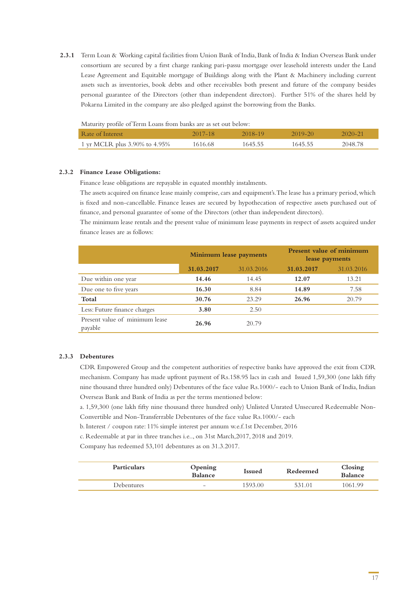**2.3.1** Term Loan & Working capital facilities from Union Bank of India, Bank of India & Indian Overseas Bank under consortium are secured by a first charge ranking pari-passu mortgage over leasehold interests under the Land Lease Agreement and Equitable mortgage of Buildings along with the Plant & Machinery including current assets such as inventories, book debts and other receivables both present and future of the company besides personal guarantee of the Directors (other than independent directors). Further 51% of the shares held by Pokarna Limited in the company are also pledged against the borrowing from the Banks.

| Rate of Interest              | $2017 - 18$ | 2018–19 | 2019-20 | 2020-21 |
|-------------------------------|-------------|---------|---------|---------|
| 1 yr MCLR plus 3.90% to 4.95% | 1616.68     | 1645.55 | 1645.55 | 2048.78 |

#### **2.3.2 Finance Lease Obligations:**

Finance lease obligations are repayable in equated monthly instalments.

The assets acquired on finance lease mainly comprise, cars and equipment's. The lease has a primary period, which is fixed and non-cancellable. Finance leases are secured by hypothecation of respective assets purchased out of finance, and personal guarantee of some of the Directors (other than independent directors).

The minimum lease rentals and the present value of minimum lease payments in respect of assets acquired under finance leases are as follows:

|                                           |            | <b>Minimum lease payments</b> |            | <b>Present value of minimum</b><br>lease payments |
|-------------------------------------------|------------|-------------------------------|------------|---------------------------------------------------|
|                                           | 31.03.2017 | 31.03.2016                    | 31.03.2017 | 31.03.2016                                        |
| Due within one year                       | 14.46      | 14.45                         | 12.07      | 13.21                                             |
| Due one to five years                     | 16.30      | 8.84                          | 14.89      | 7.58                                              |
| Total                                     | 30.76      | 23.29                         | 26.96      | 20.79                                             |
| Less: Future finance charges              | 3.80       | 2.50                          |            |                                                   |
| Present value of minimum lease<br>payable | 26.96      | 20.79                         |            |                                                   |

#### **2.3.3 Debentures**

CDR Empowered Group and the competent authorities of respective banks have approved the exit from CDR mechanism. Company has made upfront payment of Rs.158.95 lacs in cash and Issued 1,59,300 (one lakh fifty nine thousand three hundred only) Debentures of the face value Rs.1000/- each to Union Bank of India, Indian Overseas Bank and Bank of India as per the terms mentioned below:

a. 1,59,300 (one lakh fifty nine thousand three hundred only) Unlisted Unrated Unsecured Redeemable Non-Convertible and Non-Transferrable Debentures of the face value Rs.1000/- each

b. Interest / coupon rate: 11% simple interest per annum w.e.f.1st December, 2016

c. Redeemable at par in three tranches i.e.., on 31st March,2017, 2018 and 2019.

Company has redeemed 53,101 debentures as on 31.3.2017.

| <b>Particulars</b> | Opening<br><b>Balance</b> | <b>Issued</b> | Redeemed | Closing<br><b>Balance</b> |
|--------------------|---------------------------|---------------|----------|---------------------------|
| Debentures         | $\sim$                    | 1593.00       | 531 01   | 1061.99                   |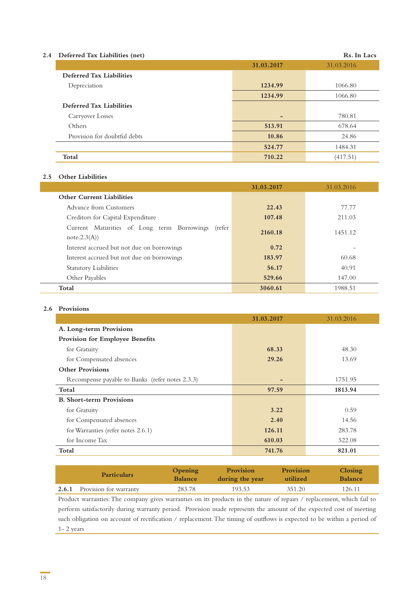#### **2.4 Deferred Tax Liabilities (net) Rs. In Lacs**

| - ------ ----- ----------- ,----, |            |            |
|-----------------------------------|------------|------------|
|                                   | 31.03.2017 | 31.03.2016 |
| <b>Deferred Tax Liabilities</b>   |            |            |
| Depreciation                      | 1234.99    | 1066.80    |
|                                   | 1234.99    | 1066.80    |
| Deferred Tax Liabilities          |            |            |
| Carryover Losses                  |            | 780.81     |
| Others                            | 513.91     | 678.64     |
| Provision for doubtful debts      | 10.86      | 24.86      |
|                                   | 524.77     | 1484.31    |
| Total                             | 710.22     | (417.51)   |

#### **2.5 Other Liabilities**

|                                                                     | 31.03.2017 | 31.03.2016 |
|---------------------------------------------------------------------|------------|------------|
| <b>Other Current Liabilities</b>                                    |            |            |
| Advance from Customers                                              | 22.43      | 77.77      |
| Creditors for Capital Expenditure                                   | 107.48     | 211.03     |
| Current Maturities of Long term Borrowings<br>(refer<br>note.2.3(A) | 2160.18    | 1451.12    |
| Interest accrued but not due on borrowings                          | 0.72       |            |
| Interest accrued but not due on borrowings                          | 183.97     | 60.68      |
| <b>Statutory Liabilities</b>                                        | 56.17      | 40.91      |
| Other Payables                                                      | 529.66     | 147.00     |
| Total                                                               | 3060.61    | 1988.51    |

#### **2.6 Provisions**

|                                                 | 31.03.2017 | 31.03.2016 |
|-------------------------------------------------|------------|------------|
| A. Long-term Provisions                         |            |            |
| Provision for Employee Benefits                 |            |            |
| for Gratuity                                    | 68.33      | 48.30      |
| for Compensated absences                        | 29.26      | 13.69      |
| <b>Other Provisions</b>                         |            |            |
| Recompense payable to Banks (refer notes 2.3.3) | -          | 1751.95    |
| Total                                           | 97.59      | 1813.94    |
| <b>B.</b> Short-term Provisions                 |            |            |
| for Gratuity                                    | 3.22       | 0.59       |
| for Compensated absences                        | 2.40       | 14.56      |
| for Warranties (refer notes 2.6.1)              | 126.11     | 283.78     |
| for Income Tax                                  | 610.03     | 522.08     |
| Total                                           | 741.76     | 821.01     |

| <b>Particulars</b>                  | Opening<br><b>Balance</b> | <b>Provision</b><br>during the year | Provision<br>utilized | <b>Closing</b><br><b>Balance</b> |
|-------------------------------------|---------------------------|-------------------------------------|-----------------------|----------------------------------|
| <b>2.6.1</b> Provision for warranty | 283.78                    | 193.53                              | 351.20                | 126.11                           |

Product warranties: The company gives warranties on its products in the nature of repairs / replacement, which fail to perform satisfactorily during warranty period. Provision made represents the amount of the expected cost of meeting such obligation on account of rectification / replacement. The timing of outflows is expected to be within a period of 1- 2 years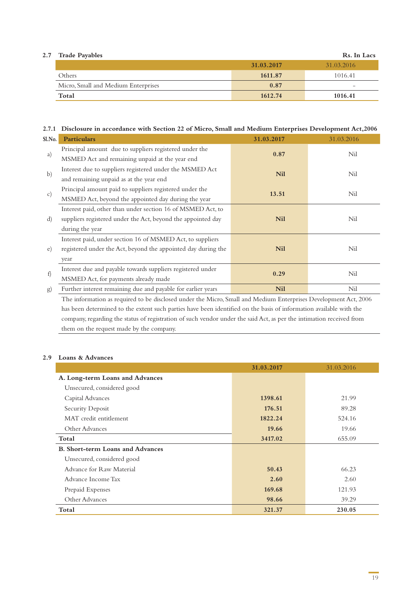| $2.7\,$ | <b>Trade Payables</b>               |            | Rs. In Lacs |
|---------|-------------------------------------|------------|-------------|
|         |                                     | 31.03.2017 | 31.03.2016  |
|         | Others                              | 1611.87    | 1016.41     |
|         | Micro, Small and Medium Enterprises | 0.87       | $\sim$      |
|         | Total                               | 1612.74    | 1016.41     |

#### **2.7.1 Disclosure in accordance with Section 22 of Micro, Small and Medium Enterprises Development Act,2006**

| Sl.No.          | <b>Particulars</b>                                                                                              | 31.03.2017 | 31.03.2016 |
|-----------------|-----------------------------------------------------------------------------------------------------------------|------------|------------|
| a)              | Principal amount due to suppliers registered under the                                                          | 0.87       | Nil        |
|                 | MSMED Act and remaining unpaid at the year end                                                                  |            |            |
| $\mathbf{b}$    | Interest due to suppliers registered under the MSMED Act                                                        | <b>Nil</b> | Nil        |
|                 | and remaining unpaid as at the year end                                                                         |            |            |
|                 | Principal amount paid to suppliers registered under the                                                         | 13.51      | Nil        |
| $\mathcal{C}$ ) | MSMED Act, beyond the appointed day during the year                                                             |            |            |
|                 | Interest paid, other than under section 16 of MSMED Act, to                                                     |            |            |
| d)              | suppliers registered under the Act, beyond the appointed day                                                    | <b>Nil</b> | Nil        |
|                 | during the year                                                                                                 |            |            |
|                 | Interest paid, under section 16 of MSMED Act, to suppliers                                                      |            |            |
| e)              | registered under the Act, beyond the appointed day during the                                                   | <b>Nil</b> | Nil        |
|                 | year                                                                                                            |            |            |
|                 | Interest due and payable towards suppliers registered under                                                     | 0.29       | Nil        |
| f)              | MSMED Act, for payments already made                                                                            |            |            |
| $\mathrm{g}$    | Further interest remaining due and payable for earlier years                                                    | <b>Nil</b> | Nil        |
|                 | the contract of the contract of the contract of the contract of the contract of the contract of the contract of |            |            |

The information as required to be disclosed under the Micro, Small and Medium Enterprises Development Act, 2006 has been determined to the extent such parties have been identified on the basis of information available with the company, regarding the status of registration of such vendor under the said Act, as per the intimation received from them on the request made by the company.

#### **2.9 Loans & Advances**

|                                         | 31.03.2017 | 31.03.2016 |
|-----------------------------------------|------------|------------|
| A. Long-term Loans and Advances         |            |            |
| Unsecured, considered good              |            |            |
| Capital Advances                        | 1398.61    | 21.99      |
| Security Deposit                        | 176.51     | 89.28      |
| MAT credit entitlement                  | 1822.24    | 524.16     |
| Other Advances                          | 19.66      | 19.66      |
| Total                                   | 3417.02    | 655.09     |
| <b>B. Short-term Loans and Advances</b> |            |            |
| Unsecured, considered good              |            |            |
| Advance for Raw Material                | 50.43      | 66.23      |
| Advance Income Tax                      | 2.60       | 2.60       |
| Prepaid Expenses                        | 169.68     | 121.93     |
| Other Advances                          | 98.66      | 39.29      |
| Total                                   | 321.37     | 230.05     |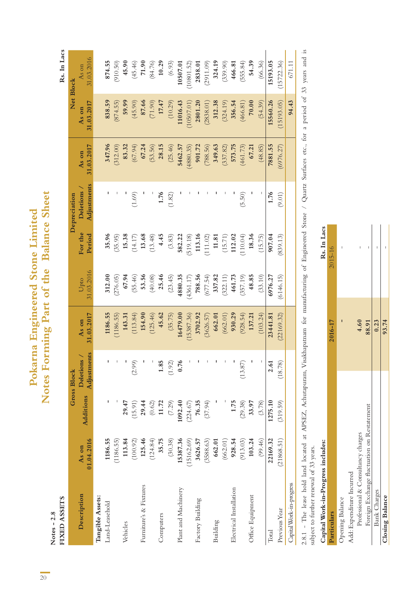Notes  $-2.8$ <br>FIXED ASSETS **Notes - 2.8**

# Notes Forming Part of the Balance Sheet **Notes Forming Part of the Balance Sheet** Pokarna Engineered Stone Limited **Pokarna Engineered Stone Limited**

Rs. In Lacs

| FIXED ASSETS             |            |           |                    |            |            |          |                  |            |            | Rs. In Lacs |
|--------------------------|------------|-----------|--------------------|------------|------------|----------|------------------|------------|------------|-------------|
|                          |            |           | <b>Gross Block</b> |            |            |          | Depreciation     |            |            | Net Block   |
| Description              | As on      | Additions | Deletions          | As on      | Upto       | For the  | <b>Deletions</b> | As on      | As on      | As on       |
|                          | 01.04.2016 |           | Adjustments        | 31.03.2017 | 31.03.2016 | Period   | Adjustments      | 31.03.2017 | 31.03.2017 | 31.03.2016  |
| Tangible Assets:         |            |           |                    |            |            |          |                  |            |            |             |
| Land-Leasehold           | 1186.55    |           |                    | 1186.55    | 312.00     | 35.96    |                  | 347.96     | 838.59     | 874.55      |
|                          | (1186.55)  |           |                    | (1186.55   | (276.05)   | (35.95)  |                  | (312.00)   | (874.55)   | (910.50)    |
| Vehicles                 | 113.84     | 29.47     |                    | 143.31     | 67.94      | 15.38    |                  | 83.32      | 59.99      | 45.90       |
|                          | (100.92)   | (15.91)   | (2.99)             | (113.84)   | (55.46)    | (14.17)  | (1.69)           | (67.94)    | (45.90)    | (45.46)     |
| Furniture's & Fixtures   | 125.46     | 29.44     |                    | 154.90     | 53.56      | 13.68    |                  | 67.24      | 87.66      | 71.90       |
|                          | (124.84)   | (0.62)    |                    | (125.46)   | (40.08)    | (13.48)  |                  | (53.56)    | (71.90)    | (84.76)     |
| Computers                | 35.75      | 11.72     | 1.85               | 45.62      | 25.46      | 4.45     | 1.76             | 28.15      | 17.47      | 10.29       |
|                          | (30.38)    | (7.29)    | (1.92)             | (35.75)    | (23.45)    | (3.83)   | (1.82)           | (25.46)    | (10.29)    | (6.93)      |
| Plant and Machinery      | 15387.36   | 1092.40   | 0.76               | 16479.00   | 4880.35    | 582.22   |                  | 5462.57    | 11016.43   | 10507.01    |
|                          | (15162.69) | (224.67)  |                    | (15387.36) | (4361.17)  | (519.18) |                  | (4880.35)  | 10507.01   | (10801.52)  |
| Factory Building         | 3626.57    | 76.35     |                    | 3702.92    | 788.56     | 113.16   |                  | 901.72     | 2801.20    | 2838.01     |
|                          | (3588.63)  | (37.94)   |                    | (3626.57)  | (677.54)   | (111.02) |                  | (788.56)   | (2838.01)  | (2911.09)   |
| Building                 | 662.01     |           |                    | 662.01     | 337.82     | 11.81    |                  | 349.63     | 312.38     | 324.19      |
|                          | (662.01)   |           |                    | (662.01)   | (322.11)   | (15.71)  |                  | (337.82)   | (324.19)   | (339.90)    |
| Electrical Installation  | 928.54     | 1.75      |                    | 930.29     | 461.73     | 112.02   |                  | 573.75     | 356.54     | 466.81      |
|                          | (913.03)   | (29.38)   | (13.87)            | (928.54)   | (357.19)   | (110.04) | (5.50)           | (461.73)   | (466.81)   | (555.84)    |
| Office Equipment         | 103.24     | 33.97     |                    | 137.21     | 48.85      | 18.36    |                  | 67.21      | 70.00      | 54.39       |
|                          | (99.46)    | (3.78)    |                    | (103.24)   | (33.10)    | (15.75)  |                  | (48.85)    | (54.39)    | (66.36)     |
| $\rm Total$              | 22169.32   | 1275.10   | 2.61               | 23441.81   | 6976.27    | 907.04   | 1.76             | 7881.55    | 15560.26   | 15193.05    |
| Previous Year            | (21868.51) | (319.59)  | (18.78)            | (22169.32) | (6146.15)  | (839.13) | (9.01)           | (6976.27)  | (15193.05) | (15722.36)  |
| Capital Work-in-progress |            |           |                    |            |            |          |                  |            | 94.43      | 671.11      |
|                          |            |           |                    |            |            |          |                  |            |            |             |

2.8.1 - The lease hold land located at APSEZ, Achutapuram, Visakhapatnam for manufacturing of Engineered Stone / Quartz Surfaces etc., for a period of 33 years and is 2.8.1 - The lease hold land located at APSEZ, Achutapuram, Visakhapatnam for manufacturing of Engineered Stone / Quartz Surfaces etc., for a period of 33 years and is subject to further renewal of 33 years. subject to further renewal of 33 years.

Rs. In Lacs

# **Capital Work-in-Progress includes: Rs. In Lacs** Capital Work-in-Progress includes:

|                                             | 2016-17  | 2015-16 |
|---------------------------------------------|----------|---------|
| <b>Opening Balance</b>                      |          | Ī       |
| Add: Expenditure Incurred                   |          |         |
| Professional & Consultancy charges          | 4.60     |         |
| Foreign Exchange fluctuation on Restatement | 88.91    |         |
| <b>Bank Charges</b>                         | $-0.23-$ |         |
| Closing Balance                             | 93.74    |         |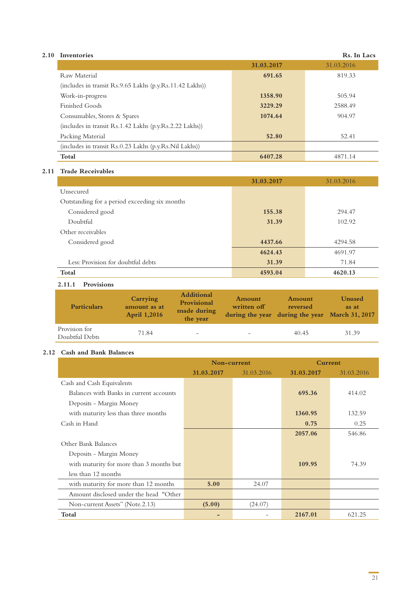#### **2.10 Inventories**

|                                                              | 31.03.2017 | 31.03.2016 |
|--------------------------------------------------------------|------------|------------|
| Raw Material                                                 | 691.65     | 819.33     |
| (includes in transit $Rs.9.65$ Lakhs (p.y. Rs. 11.42 Lakhs)) |            |            |
| Work-in-progress                                             | 1358.90    | 505.94     |
| Finished Goods                                               | 3229.29    | 2588.49    |
| Consumables, Stores & Spares                                 | 1074.64    | 904.97     |
| (includes in transit Rs.1.42 Lakhs (p.y.Rs.2.22 Lakhs))      |            |            |
| Packing Material                                             | 52.80      | 52.41      |
| (includes in transit Rs.0.23 Lakhs (p.y.Rs.Nil Lakhs))       |            |            |
| Total                                                        | 6407.28    | 4871.14    |

#### **2.11 Trade Receivables**

|                                               | 31.03.2017 | 31.03.2016 |
|-----------------------------------------------|------------|------------|
| Unsecured                                     |            |            |
| Outstanding for a period exceeding six months |            |            |
| Considered good                               | 155.38     | 294.47     |
| Doubtful                                      | 31.39      | 102.92     |
| Other receivables                             |            |            |
| Considered good                               | 4437.66    | 4294.58    |
|                                               | 4624.43    | 4691.97    |
| Less: Provision for doubtful debts            | 31.39      | 71.84      |
| Total                                         | 4593.04    | 4620.13    |

#### **2.11.1 Provisions**

| <b>Particulars</b>              | Carrying<br>amount as at<br><b>April 1,2016</b> | <b>Additional</b><br>Provisional<br>made during<br>the year | Amount<br>written off    | Amount<br>reversed<br>during the year during the year March 31, 2017 | Unused<br>as at |
|---------------------------------|-------------------------------------------------|-------------------------------------------------------------|--------------------------|----------------------------------------------------------------------|-----------------|
| Provision for<br>Doubtful Debts | 71.84                                           | $\qquad \qquad -$                                           | $\overline{\phantom{0}}$ | 40.45                                                                | 31.39           |

#### **2.12 Cash and Bank Balances**

|                                          | Non-current |            | Current    |            |
|------------------------------------------|-------------|------------|------------|------------|
|                                          | 31.03.2017  | 31.03.2016 | 31.03.2017 | 31.03.2016 |
| Cash and Cash Equivalents                |             |            |            |            |
| Balances with Banks in current accounts  |             |            | 695.36     | 414.02     |
| Deposits - Margin Money                  |             |            |            |            |
| with maturity less than three months     |             |            | 1360.95    | 132.59     |
| Cash in Hand                             |             |            | 0.75       | 0.25       |
|                                          |             |            | 2057.06    | 546.86     |
| Other Bank Balances                      |             |            |            |            |
| Deposits - Margin Money                  |             |            |            |            |
| with maturity for more than 3 months but |             |            | 109.95     | 74.39      |
| less than 12 months                      |             |            |            |            |
| with maturity for more than 12 months    | 5.00        | 24.07      |            |            |
| Amount disclosed under the head "Other   |             |            |            |            |
| Non-current Assets" (Note.2.13)          | (5.00)      | (24.07)    |            |            |
| Total                                    |             |            | 2167.01    | 621.25     |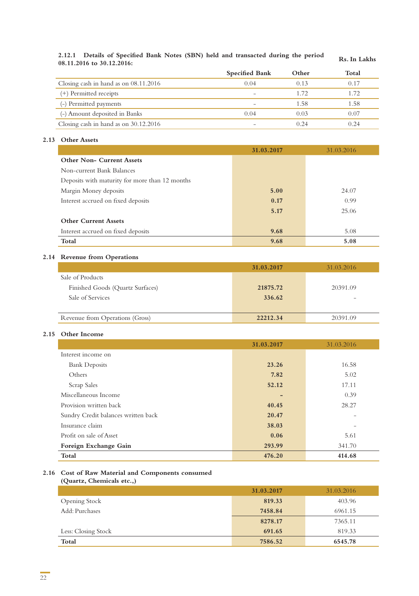# **2.12.1 Details of Specified Bank Notes (SBN) held and transacted during the period 08.11.2016 to 30.12.2016: Rs. In Lakhs**

|                                         | <b>Specified Bank</b> | Other | Total |
|-----------------------------------------|-----------------------|-------|-------|
| Closing cash in hand as on $08.11.2016$ | 0.04                  | 0.13  | 0.17  |
| (+) Permitted receipts                  |                       | 1.72  | 1.72  |
| (-) Permitted payments                  |                       | 1.58  | 1.58  |
| (-) Amount deposited in Banks           | 0.04                  | 0.03  | 0.07  |
| Closing cash in hand as on $30.12.2016$ |                       | 0.24  | 0.24  |

#### **2.13 Other Assets**

|                                                | 31.03.2017 | 31.03.2016 |
|------------------------------------------------|------------|------------|
| <b>Other Non- Current Assets</b>               |            |            |
| Non-current Bank Balances                      |            |            |
| Deposits with maturity for more than 12 months |            |            |
| Margin Money deposits                          | 5.00       | 24.07      |
| Interest accrued on fixed deposits             | 0.17       | 0.99       |
|                                                | 5.17       | 25.06      |
| <b>Other Current Assets</b>                    |            |            |
| Interest accrued on fixed deposits             | 9.68       | 5.08       |
| Total                                          | 9.68       | 5.08       |

#### **2.14 Revenue from Operations**

|                                  | 31.03.2017 | 31.03.2016 |
|----------------------------------|------------|------------|
| Sale of Products                 |            |            |
| Finished Goods (Quartz Surfaces) | 21875.72   | 20391.09   |
| Sale of Services                 | 336.62     |            |
|                                  |            |            |
| Revenue from Operations (Gross)  | 22212.34   | 20391.09   |

#### **2.15 Other Income**

|                                     | 31.03.2017 | 31.03.2016 |
|-------------------------------------|------------|------------|
| Interest income on                  |            |            |
| <b>Bank Deposits</b>                | 23.26      | 16.58      |
| Others                              | 7.82       | 5.02       |
| Scrap Sales                         | 52.12      | 17.11      |
| Miscellaneous Income                | -          | 0.39       |
| Provision written back              | 40.45      | 28.27      |
| Sundry Credit balances written back | 20.47      |            |
| Insurance claim                     | 38.03      |            |
| Profit on sale of Asset             | 0.06       | 5.61       |
| Foreign Exchange Gain               | 293.99     | 341.70     |
| Total                               | 476.20     | 414.68     |

#### **2.16 Cost of Raw Material and Components consumed**

**(Quartz, Chemicals etc.,)**

|                      | 31.03.2017 | 31.03.2016 |
|----------------------|------------|------------|
| <b>Opening Stock</b> | 819.33     | 403.96     |
| Add: Purchases       | 7458.84    | 6961.15    |
|                      | 8278.17    | 7365.11    |
| Less: Closing Stock  | 691.65     | 819.33     |
| Total                | 7586.52    | 6545.78    |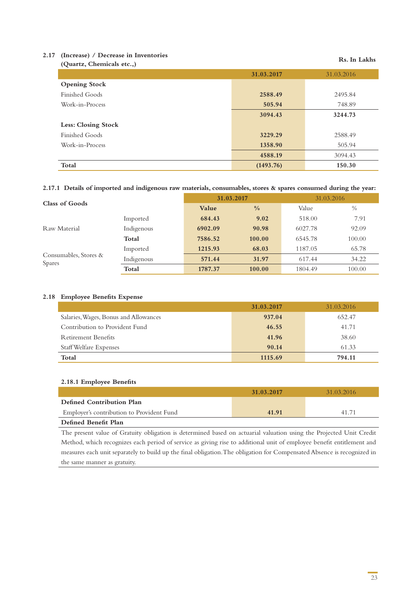#### **2.17 (Increase) / Decrease in Inventories**  (Duartz, Chemicals etc..) **Rs. In Lakhs**

| $\sqrt{2}$ was very convenience very, |            |            |
|---------------------------------------|------------|------------|
|                                       | 31.03.2017 | 31.03.2016 |
| <b>Opening Stock</b>                  |            |            |
| Finished Goods                        | 2588.49    | 2495.84    |
| Work-in-Process                       | 505.94     | 748.89     |
|                                       | 3094.43    | 3244.73    |
| Less: Closing Stock                   |            |            |
| Finished Goods                        | 3229.29    | 2588.49    |
| Work-in-Process                       | 1358.90    | 505.94     |
|                                       | 4588.19    | 3094.43    |
| Total                                 | (1493.76)  | 150.30     |

#### **2.17.1 Details of imported and indigenous raw materials, consumables, stores & spares consumed during the year:**

| Class of Goods                         |            | 31.03.2017 |               | 31.03.2016 |               |
|----------------------------------------|------------|------------|---------------|------------|---------------|
|                                        |            | Value      | $\frac{0}{0}$ | Value      | $\frac{0}{0}$ |
|                                        | Imported   | 684.43     | 9.02          | 518.00     | 7.91          |
| Raw Material                           | Indigenous | 6902.09    | 90.98         | 6027.78    | 92.09         |
|                                        | Total      | 7586.52    | 100.00        | 6545.78    | 100.00        |
| Consumables, Stores &<br><b>Spares</b> | Imported   | 1215.93    | 68.03         | 1187.05    | 65.78         |
|                                        | Indigenous | 571.44     | 31.97         | 617.44     | 34.22         |
|                                        | Total      | 1787.37    | 100.00        | 1804.49    | 100.00        |

#### **2.18 Employee Benefits Expense**

|                                       | 31.03.2017 | 31.03.2016 |
|---------------------------------------|------------|------------|
| Salaries, Wages, Bonus and Allowances | 937.04     | 652.47     |
| Contribution to Provident Fund        | 46.55      | 41.71      |
| <b>Retirement Benefits</b>            | 41.96      | 38.60      |
| Staff Welfare Expenses                | 90.14      | 61.33      |
| Total                                 | 1115.69    | 794.11     |

#### **2.18.1 Employee Benefits**

|                                           | 31.03.2017 | 31 03 2016 |
|-------------------------------------------|------------|------------|
| Defined Contribution Plan                 |            |            |
| Employer's contribution to Provident Fund | 41.91      | 41 71      |
| Defined Benefit Plan                      |            |            |

The present value of Gratuity obligation is determined based on actuarial valuation using the Projected Unit Credit Method, which recognizes each period of service as giving rise to additional unit of employee benefit entitlement and measures each unit separately to build up the final obligation. The obligation for Compensated Absence is recognized in the same manner as gratuity.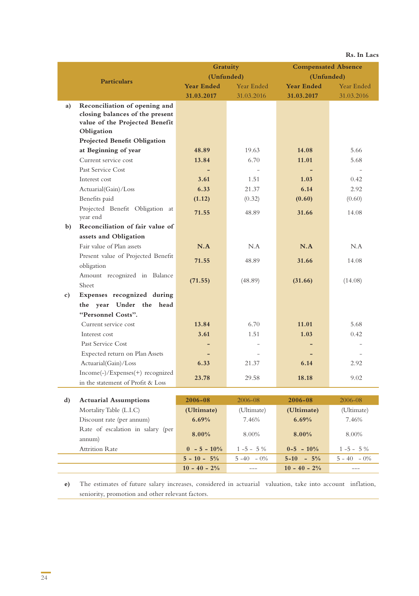|               |                                                                                                                  |                          |                |                            | Rs. In Lacs    |
|---------------|------------------------------------------------------------------------------------------------------------------|--------------------------|----------------|----------------------------|----------------|
|               |                                                                                                                  | Gratuity                 |                | <b>Compensated Absence</b> |                |
|               |                                                                                                                  |                          | (Unfunded)     |                            | (Unfunded)     |
|               | <b>Particulars</b>                                                                                               | <b>Year Ended</b>        | Year Ended     | <b>Year Ended</b>          | Year Ended     |
|               |                                                                                                                  | 31.03.2017               | 31.03.2016     | 31.03.2017                 | 31.03.2016     |
| a)            | Reconciliation of opening and<br>closing balances of the present<br>value of the Projected Benefit<br>Obligation |                          |                |                            |                |
|               | Projected Benefit Obligation                                                                                     |                          |                |                            |                |
|               | at Beginning of year                                                                                             | 48.89                    | 19.63          | 14.08                      | 5.66           |
|               | Current service cost                                                                                             | 13.84                    | 6.70           | 11.01                      | 5.68           |
|               | Past Service Cost                                                                                                | $\overline{\phantom{0}}$ |                |                            |                |
|               | Interest cost                                                                                                    | 3.61                     | 1.51           | 1.03                       | 0.42           |
|               | Actuarial(Gain)/Loss                                                                                             | 6.33                     | 21.37          | 6.14                       | 2.92           |
|               | Benefits paid                                                                                                    | (1.12)                   | (0.32)         | (0.60)                     | (0.60)         |
|               | Projected Benefit Obligation at<br>year end                                                                      | 71.55                    | 48.89          | 31.66                      | 14.08          |
| $\mathbf{b}$  | Reconciliation of fair value of                                                                                  |                          |                |                            |                |
|               | assets and Obligation                                                                                            |                          |                |                            |                |
|               | Fair value of Plan assets                                                                                        | N.A                      | N.A            | N.A                        | N.A            |
|               | Present value of Projected Benefit<br>obligation                                                                 | 71.55                    | 48.89          | 31.66                      | 14.08          |
|               | Amount recognized in Balance<br>Sheet                                                                            | (71.55)                  | (48.89)        | (31.66)                    | (14.08)        |
| $\mathbf{c})$ | Expenses recognized during                                                                                       |                          |                |                            |                |
|               | the year Under the head                                                                                          |                          |                |                            |                |
|               | "Personnel Costs".                                                                                               |                          |                |                            |                |
|               | Current service cost                                                                                             | 13.84                    | 6.70           | 11.01                      | 5.68           |
|               | Interest cost                                                                                                    | 3.61                     | 1.51           | 1.03                       | 0.42           |
|               | Past Service Cost                                                                                                |                          |                |                            |                |
|               | Expected return on Plan Assets                                                                                   |                          |                |                            |                |
|               | Actuarial(Gain)/Loss                                                                                             | 6.33                     | 21.37          | 6.14                       | 2.92           |
|               | Income(-)/Expenses(+) recognized                                                                                 | 23.78                    | 29.58          | 18.18                      | 9.02           |
|               | in the statement of Profit & Loss                                                                                |                          |                |                            |                |
| d)            | <b>Actuarial Assumptions</b>                                                                                     | $2006 - 08$              | 2006-08        | 2006-08                    | 2006-08        |
|               | Mortality Table (L.I.C)                                                                                          | (Ultimate)               | (Ultimate)     | (Ultimate)                 | (Ultimate)     |
|               | Discount rate (per annum)                                                                                        | 6.69%                    | 7.46%          | 6.69%                      | 7.46%          |
|               | Rate of escalation in salary (per                                                                                |                          |                |                            |                |
|               | annum)                                                                                                           | 8.00%                    | 8.00%          | 8.00%                      | 8.00%          |
|               | <b>Attrition Rate</b>                                                                                            | $0 - 5 - 10\%$           | $1 - 5 - 5\%$  | $0-5 - 10%$                | $1 - 5 - 5 \%$ |
|               |                                                                                                                  | $5 - 10 - 5\%$           | $5 - 40 - 0\%$ | $5-10 - 5%$                | $5 - 40 - 0\%$ |

**e)** The estimates of future salary increases, considered in actuarial valuation, take into account inflation, seniority, promotion and other relevant factors.

**10 - 40 - 2%** --- **10 - 40 - 2%** ---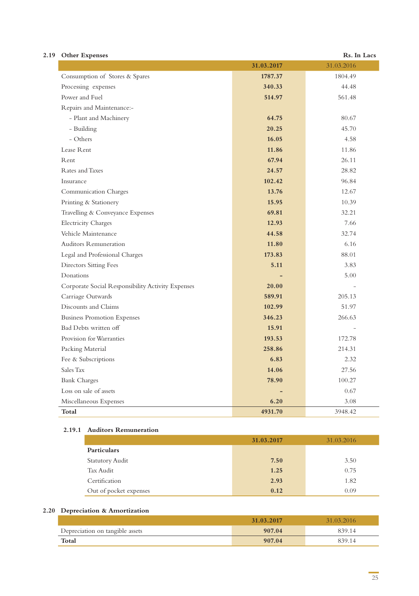| 2.19 Other Expenses            |            | Rs. In Lacs |
|--------------------------------|------------|-------------|
|                                | 31.03.2017 | 31.03.2016  |
| Consumption of Stores & Spares | 1787.37    | 1804.49     |

|                                                   | 31.03.2017 | 31.03.2016 |
|---------------------------------------------------|------------|------------|
| Consumption of Stores & Spares                    | 1787.37    | 1804.49    |
| Processing expenses                               | 340.33     | 44.48      |
| Power and Fuel                                    | 514.97     | 561.48     |
| Repairs and Maintenance:-                         |            |            |
| - Plant and Machinery                             | 64.75      | 80.67      |
| - Building                                        | 20.25      | 45.70      |
| - Others                                          | 16.05      | 4.58       |
| Lease Rent                                        | 11.86      | 11.86      |
| Rent                                              | 67.94      | 26.11      |
| Rates and Taxes                                   | 24.57      | 28.82      |
| Insurance                                         | 102.42     | 96.84      |
| Communication Charges                             | 13.76      | 12.67      |
| Printing & Stationery                             | 15.95      | 10.39      |
| Travelling & Conveyance Expenses                  | 69.81      | 32.21      |
| <b>Electricity Charges</b>                        | 12.93      | 7.66       |
| Vehicle Maintenance                               | 44.58      | 32.74      |
| <b>Auditors Remuneration</b>                      | 11.80      | 6.16       |
| Legal and Professional Charges                    | 173.83     | 88.01      |
| <b>Directors Sitting Fees</b>                     | 5.11       | 3.83       |
| Donations                                         |            | 5.00       |
| Corporate Social Responsibility Activity Expenses | 20.00      |            |
| Carriage Outwards                                 | 589.91     | 205.13     |
| Discounts and Claims                              | 102.99     | 51.97      |
| <b>Business Promotion Expenses</b>                | 346.23     | 266.63     |
| Bad Debts written off                             | 15.91      | ÷          |
| Provision for Warranties                          | 193.53     | 172.78     |
| Packing Material                                  | 258.86     | 214.31     |
| Fee & Subscriptions                               | 6.83       | 2.32       |
| Sales Tax                                         | 14.06      | 27.56      |
| <b>Bank Charges</b>                               | 78.90      | 100.27     |
| Loss on sale of assets                            |            | 0.67       |
| Miscellaneous Expenses                            | 6.20       | 3.08       |
| Total                                             | 4931.70    | 3948.42    |

#### **2.19.1 Auditors Remuneration**

|                        | 31.03.2017 | 31.03.2016 |
|------------------------|------------|------------|
| <b>Particulars</b>     |            |            |
| <b>Statutory Audit</b> | 7.50       | 3.50       |
| Tax Audit              | 1.25       | 0.75       |
| Certification          | 2.93       | 1.82       |
| Out of pocket expenses | 0.12       | 0.09       |

#### **2.20 Depreciation & Amortization**

|                                 | 31,03,2017 | 31.03.2016 |
|---------------------------------|------------|------------|
| Depreciation on tangible assets | 907.04     | 839.14     |
| Total                           | 907.04     | 839.14     |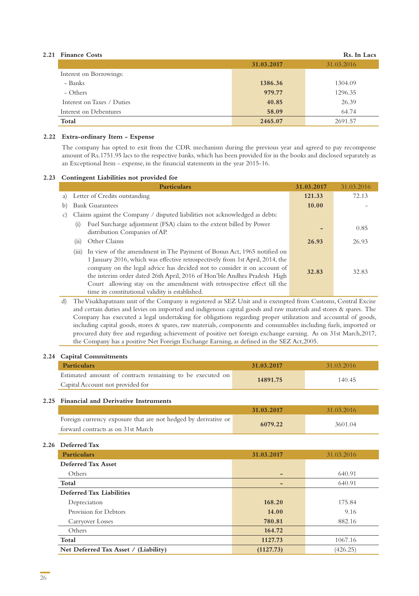#### **2.21 Finance Costs Rs. In Lacs**

|                            | 31.03.2017 | 31.03.2016 |
|----------------------------|------------|------------|
| Interest on Borrowings:    |            |            |
| - Banks                    | 1386.36    | 1304.09    |
| - Others                   | 979.77     | 1296.35    |
| Interest on Taxes / Duties | 40.85      | 26.39      |
| Interest on Debentures     | 58.09      | 64.74      |
| Total                      | 2465.07    | 2691.57    |

#### **2.22 Extra-ordinary Item - Expense**

The company has opted to exit from the CDR mechanism during the previous year and agreed to pay recompense amount of Rs.1751.95 lacs to the respective banks, which has been provided for in the books and disclosed separately as an Exceptional Item - expense, in the financial statements in the year 2015-16.

#### **2.23 Contingent Liabilities not provided for**

| <b>Particulars</b>                                                                                                                                                                                                                                                                                                                                                                                                                                     | 31.03.2017 | 31.03.2016 |
|--------------------------------------------------------------------------------------------------------------------------------------------------------------------------------------------------------------------------------------------------------------------------------------------------------------------------------------------------------------------------------------------------------------------------------------------------------|------------|------------|
| Letter of Credits outstanding<br>a)                                                                                                                                                                                                                                                                                                                                                                                                                    | 121.33     | 72.13      |
| <b>Bank Guarantees</b><br>b)                                                                                                                                                                                                                                                                                                                                                                                                                           | 10.00      |            |
| Claims against the Company / disputed liabilities not acknowledged as debts:<br>$\mathcal{C}$ )                                                                                                                                                                                                                                                                                                                                                        |            |            |
| Fuel Surcharge adjustment (FSA) claim to the extent billed by Power<br>(1)<br>distribution Companies of AP.                                                                                                                                                                                                                                                                                                                                            |            | 0.85       |
| Other Claims<br>(11)                                                                                                                                                                                                                                                                                                                                                                                                                                   | 26.93      | 26.93      |
| In view of the amendment in The Payment of Bonus Act, 1965 notified on<br>(111)<br>1 January 2016, which was effective retrospectively from 1st April, 2014, the<br>company on the legal advice has decided not to consider it on account of<br>the interim order dated 26th April, 2016 of Hon'ble Andhra Pradesh High<br>Court allowing stay on the amendment with retrospective effect till the<br>time its constitutional validity is established. | 32.83      | 32.83      |

d) The Visakhapatnam unit of the Company is registered as SEZ Unit and is exempted from Customs, Central Excise and certain duties and levies on imported and indigenous capital goods and raw materials and stores & spares. The Company has executed a legal undertaking for obligations regarding proper utilization and accountal of goods, including capital goods, stores & spares, raw materials, components and consumables including fuels, imported or procured duty free and regarding achievement of positive net foreign exchange earning. As on 31st March,2017, the Company has a positive Net Foreign Exchange Earning, as defined in the SEZ Act,2005.

#### **2.24 Capital Commitments**

| Particulars                                               | 31,03,2017 | 31.03.2016 |  |
|-----------------------------------------------------------|------------|------------|--|
| Estimated amount of contracts remaining to be executed on | 14891.75   | 140.45     |  |
| Capital Account not provided for                          |            |            |  |

#### **2.25 Financial and Derivative Instruments**

|                                                                | 31.03.2017 | 31.03.2016 |
|----------------------------------------------------------------|------------|------------|
| Foreign currency exposure that are not hedged by derivative or | 6079.22    | 3601.04    |
| forward contracts as on 31st March                             |            |            |

#### **2.26 Deferred Tax**

| <b>Particulars</b>                   | 31.03.2017 | 31.03.2016 |
|--------------------------------------|------------|------------|
| Deferred Tax Asset                   |            |            |
| Others                               |            | 640.91     |
| Total                                |            | 640.91     |
| Deferred Tax Liabilities             |            |            |
| Depreciation                         | 168.20     | 175.84     |
| Provision for Debtors                | 14.00      | 9.16       |
| Carryover Losses                     | 780.81     | 882.16     |
| Others                               | 164.72     |            |
| Total                                | 1127.73    | 1067.16    |
| Net Deferred Tax Asset / (Liability) | (1127.73)  | (426.25)   |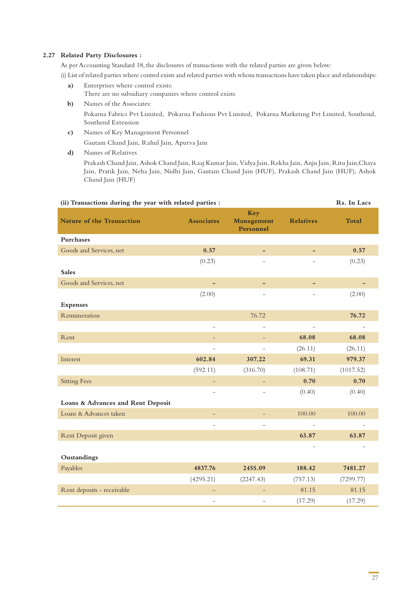#### **2.27 Related Party Disclosures :**

As per Accounting Standard 18, the disclosures of transactions with the related parties are given below: (i) List of related parties where control exists and related parties with whom transactions have taken place and relationships:

- **a)** Enterprises where control exists: There are no subsidiary companies where control exists
- **b)** Names of the Associates: Pokarna Fabrics Pvt Limited, Pokarna Fashions Pvt Limited, Pokarna Marketing Pvt Limited, Southend, Southend Extension
- **c)** Names of Key Management Personnel Gautam Chand Jain, Rahul Jain, Apurva Jain
- **d)** Names of Relatives

Prakash Chand Jain, Ashok Chand Jain, Raaj Kumar Jain, Vidya Jain, Rekha Jain, Anju Jain, Ritu Jain,Chaya Jain, Pratik Jain, Neha Jain, Nidhi Jain, Gautam Chand Jain (HUF), Prakash Chand Jain (HUF), Ashok Chand Jain (HUF)

| (ii) Transactions during the year with related parties : |                          |                                |                          | Rs. In Lacs  |
|----------------------------------------------------------|--------------------------|--------------------------------|--------------------------|--------------|
| <b>Nature of the Transaction</b>                         | <b>Associates</b>        | Key<br>Management<br>Personnel | <b>Relatives</b>         | <b>Total</b> |
| Purchases                                                |                          |                                |                          |              |
| Goods and Services, net                                  | 0.57                     |                                |                          | 0.57         |
|                                                          | (0.23)                   |                                |                          | (0.23)       |
| <b>Sales</b>                                             |                          |                                |                          |              |
| Goods and Services, net                                  | $\qquad \qquad -$        |                                | ٠                        |              |
|                                                          | (2.00)                   |                                |                          | (2.00)       |
| <b>Expenses</b>                                          |                          |                                |                          |              |
| Remuneration                                             |                          | 76.72                          |                          | 76.72        |
|                                                          | $\overline{\phantom{a}}$ |                                |                          |              |
| Rent                                                     |                          |                                | 68.08                    | 68.08        |
|                                                          | $\overline{\phantom{0}}$ |                                | (26.11)                  | (26.11)      |
| Interest                                                 | 602.84                   | 307.22                         | 69.31                    | 979.37       |
|                                                          | (592.11)                 | (316.70)                       | (108.71)                 | (1017.52)    |
| <b>Sitting Fees</b>                                      | $\qquad \qquad -$        | $\qquad \qquad -$              | 0.70                     | 0.70         |
|                                                          |                          |                                | (0.40)                   | (0.40)       |
| Loans & Advances and Rent Deposit                        |                          |                                |                          |              |
| Loans & Advances taken                                   | -                        |                                | 100.00                   | 100.00       |
|                                                          | -                        |                                |                          |              |
| Rent Deposit given                                       |                          |                                | 63.87                    | 63.87        |
|                                                          |                          |                                | $\overline{\phantom{a}}$ |              |
| Oustandings                                              |                          |                                |                          |              |
| Payables                                                 | 4837.76                  | 2455.09                        | 188.42                   | 7481.27      |
|                                                          | (4295.21)                | (2247.43)                      | (757.13)                 | (7299.77)    |
| Rent deposits - receivable                               | $\overline{\phantom{0}}$ |                                | 81.15                    | 81.15        |
|                                                          | $\overline{\phantom{0}}$ | $\equiv$                       | (17.29)                  | (17.29)      |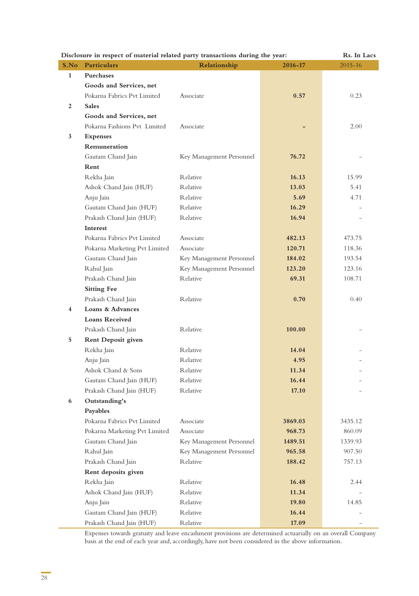|              | Disclosure in respect of material related party transactions during the year: | Rs. In Lacs              |         |             |
|--------------|-------------------------------------------------------------------------------|--------------------------|---------|-------------|
| S.No         | Particulars                                                                   | Relationship             | 2016-17 | $2015 - 16$ |
| $\mathbf{1}$ | <b>Purchases</b>                                                              |                          |         |             |
|              | Goods and Services, net                                                       |                          |         |             |
|              | Pokarna Fabrics Pvt Limited                                                   | Associate                | 0.57    | 0.23        |
| 2            | <b>Sales</b>                                                                  |                          |         |             |
|              | Goods and Services, net                                                       |                          |         |             |
|              | Pokarna Fashions Pvt Limited                                                  | Associate                |         | 2.00        |
| 3            | <b>Expenses</b>                                                               |                          |         |             |
|              | Remuneration                                                                  |                          |         |             |
|              | Gautam Chand Jain                                                             | Key Management Personnel | 76.72   |             |
|              | Rent                                                                          |                          |         |             |
|              | Rekha Jain                                                                    | Relative                 | 16.13   | 15.99       |
|              | Ashok Chand Jain (HUF)                                                        | Relative                 | 13.03   | 5.41        |
|              | Anju Jain                                                                     | Relative                 | 5.69    | 4.71        |
|              | Gautam Chand Jain (HUF)                                                       | <b>R</b> elative         | 16.29   |             |
|              | Prakash Chand Jain (HUF)                                                      | Relative                 | 16.94   |             |
|              | Interest                                                                      |                          |         |             |
|              | Pokarna Fabrics Pvt Limited                                                   | Associate                | 482.13  | 473.75      |
|              | Pokarna Marketing Pvt Limited                                                 | Associate                | 120.71  | 118.36      |
|              | Gautam Chand Jain                                                             | Key Management Personnel | 184.02  | 193.54      |
|              | Rahul Jain                                                                    | Key Management Personnel | 123.20  | 123.16      |
|              | Prakash Chand Jain                                                            | Relative                 | 69.31   | 108.71      |
|              | <b>Sitting Fee</b>                                                            |                          |         |             |
|              | Prakash Chand Jain                                                            | Relative                 | 0.70    | 0.40        |
| 4            | Loans & Advances                                                              |                          |         |             |
|              | <b>Loans Received</b>                                                         |                          |         |             |
|              | Prakash Chand Jain                                                            | Relative                 | 100.00  |             |
| 5            | <b>Rent Deposit given</b>                                                     |                          |         |             |
|              | Rekha Jain                                                                    | Relative                 | 14.04   |             |
|              | Anju Jain                                                                     | Relative                 | 4.95    |             |
|              | Ashok Chand & Sons                                                            | Relative                 | 11.34   |             |
|              | Gautam Chand Jain (HUF)                                                       | Relative                 | 16.44   |             |
|              | Prakash Chand Jain (HUF)                                                      | Relative                 | 17.10   |             |
| 6            | Outstanding's                                                                 |                          |         |             |
|              | Payables                                                                      |                          |         |             |
|              | Pokarna Fabrics Pvt Limited                                                   | Associate                | 3869.03 | 3435.12     |
|              | Pokarna Marketing Pvt Limited                                                 | Associate                | 968.73  | 860.09      |
|              | Gautam Chand Jain                                                             | Key Management Personnel | 1489.51 | 1339.93     |
|              | Rahul Jain                                                                    | Key Management Personnel | 965.58  | 907.50      |
|              | Prakash Chand Jain                                                            | Relative                 | 188.42  | 757.13      |
|              | Rent deposits given                                                           |                          |         |             |
|              | Rekha Jain                                                                    | Relative                 | 16.48   | 2.44        |
|              | Ashok Chand Jain (HUF)                                                        | Relative                 | 11.34   |             |
|              | Anju Jain                                                                     | Relative                 | 19.80   | 14.85       |
|              | Gautam Chand Jain (HUF)                                                       | Relative                 | 16.44   |             |
|              | Prakash Chand Jain (HUF)                                                      | Relative                 | 17.09   |             |

Expenses towards gratuity and leave encashment provisions are determined actuarially on an overall Company basis at the end of each year and, accordingly, have not been considered in the above information.